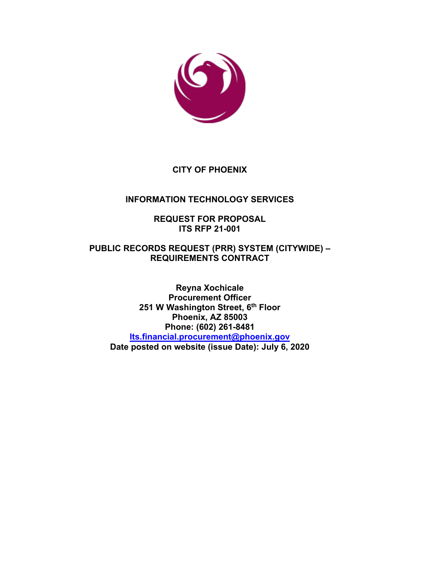

## **CITY OF PHOENIX**

## **INFORMATION TECHNOLOGY SERVICES**

### **REQUEST FOR PROPOSAL ITS RFP 21-001**

### **PUBLIC RECORDS REQUEST (PRR) SYSTEM (CITYWIDE) – REQUIREMENTS CONTRACT**

**Reyna Xochicale Procurement Officer 251 W Washington Street, 6th Floor Phoenix, AZ 85003 Phone: (602) 261-8481 [Its.financial.procurement@phoenix.gov](mailto:Its.financial.procurement@phoenix.gov) Date posted on website (issue Date): July 6, 2020**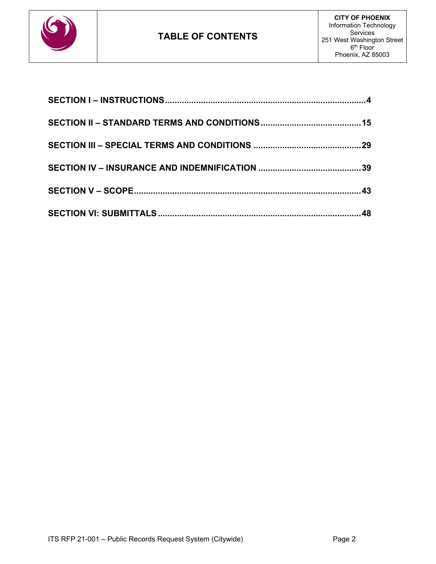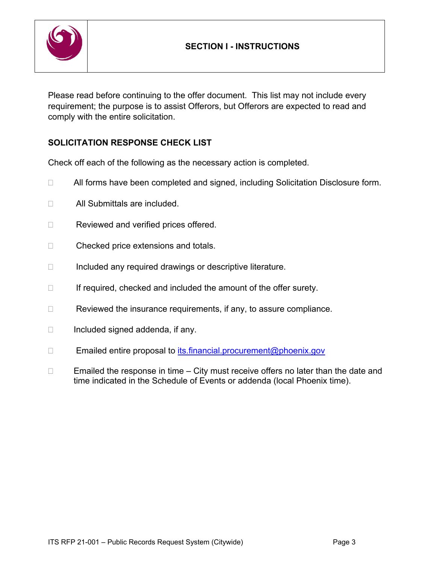

Please read before continuing to the offer document. This list may not include every requirement; the purpose is to assist Offerors, but Offerors are expected to read and comply with the entire solicitation.

## **SOLICITATION RESPONSE CHECK LIST**

Check off each of the following as the necessary action is completed.

- □ All forms have been completed and signed, including Solicitation Disclosure form.
- □ All Submittals are included.
- Reviewed and verified prices offered.
- □ Checked price extensions and totals.
- $\Box$  Included any required drawings or descriptive literature.
- $\Box$  If required, checked and included the amount of the offer surety.
- $\Box$  Reviewed the insurance requirements, if any, to assure compliance.
- $\Box$  Included signed addenda, if any.
- $\square$  Emailed entire proposal to [its.financial.procurement@phoenix.gov](mailto:its.financial.procurement@phoenix.gov)
- $\Box$  Emailed the response in time City must receive offers no later than the date and time indicated in the Schedule of Events or addenda (local Phoenix time).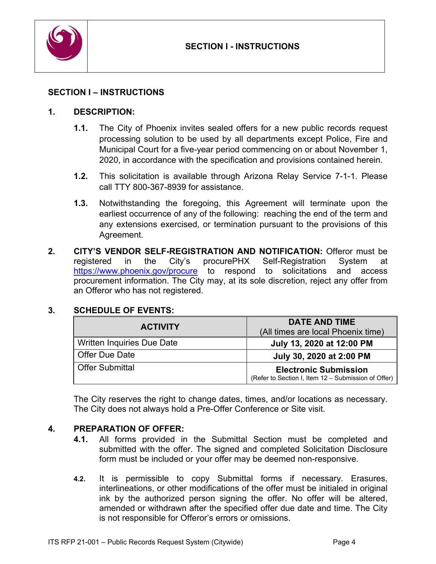

### <span id="page-3-0"></span>**SECTION I – INSTRUCTIONS**

#### **1. DESCRIPTION:**

- **1.1.** The City of Phoenix invites sealed offers for a new public records request processing solution to be used by all departments except Police, Fire and Municipal Court for a five-year period commencing on or about November 1, 2020, in accordance with the specification and provisions contained herein.
- **1.2.** This solicitation is available through Arizona Relay Service 7-1-1. Please call TTY 800-367-8939 for assistance.
- **1.3.** Notwithstanding the foregoing, this Agreement will terminate upon the earliest occurrence of any of the following: reaching the end of the term and any extensions exercised, or termination pursuant to the provisions of this Agreement.
- **2. CITY'S VENDOR SELF-REGISTRATION AND NOTIFICATION:** Offeror must be registered in the City's procurePHX Self-Registration System at <https://www.phoenix.gov/procure> to respond to solicitations and access procurement information. The City may, at its sole discretion, reject any offer from an Offeror who has not registered.

#### **3. SCHEDULE OF EVENTS:**

| <b>ACTIVITY</b>                   | <b>DATE AND TIME</b><br>(All times are local Phoenix time)                          |
|-----------------------------------|-------------------------------------------------------------------------------------|
| <b>Written Inquiries Due Date</b> | July 13, 2020 at 12:00 PM                                                           |
| <b>Offer Due Date</b>             | July 30, 2020 at 2:00 PM                                                            |
| <b>Offer Submittal</b>            | <b>Electronic Submission</b><br>(Refer to Section I, Item 12 - Submission of Offer) |

The City reserves the right to change dates, times, and/or locations as necessary. The City does not always hold a Pre-Offer Conference or Site visit.

#### **4. PREPARATION OF OFFER:**

- **4.1.** All forms provided in the Submittal Section must be completed and submitted with the offer. The signed and completed Solicitation Disclosure form must be included or your offer may be deemed non-responsive.
- **4.2.** It is permissible to copy Submittal forms if necessary. Erasures, interlineations, or other modifications of the offer must be initialed in original ink by the authorized person signing the offer. No offer will be altered, amended or withdrawn after the specified offer due date and time. The City is not responsible for Offeror's errors or omissions.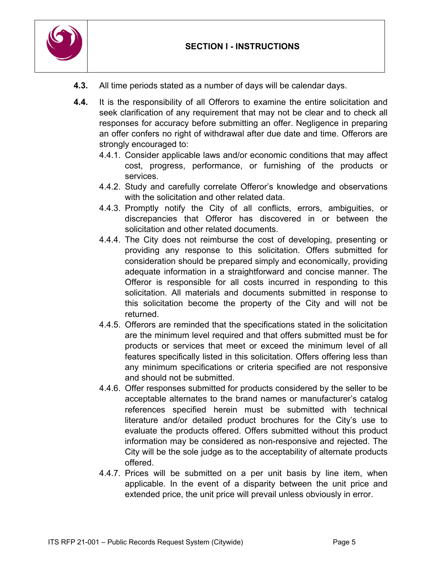

- **4.3.** All time periods stated as a number of days will be calendar days.
- **4.4.** It is the responsibility of all Offerors to examine the entire solicitation and seek clarification of any requirement that may not be clear and to check all responses for accuracy before submitting an offer. Negligence in preparing an offer confers no right of withdrawal after due date and time. Offerors are strongly encouraged to:
	- 4.4.1. Consider applicable laws and/or economic conditions that may affect cost, progress, performance, or furnishing of the products or services.
	- 4.4.2. Study and carefully correlate Offeror's knowledge and observations with the solicitation and other related data.
	- 4.4.3. Promptly notify the City of all conflicts, errors, ambiguities, or discrepancies that Offeror has discovered in or between the solicitation and other related documents.
	- 4.4.4. The City does not reimburse the cost of developing, presenting or providing any response to this solicitation. Offers submitted for consideration should be prepared simply and economically, providing adequate information in a straightforward and concise manner. The Offeror is responsible for all costs incurred in responding to this solicitation. All materials and documents submitted in response to this solicitation become the property of the City and will not be returned.
	- 4.4.5. Offerors are reminded that the specifications stated in the solicitation are the minimum level required and that offers submitted must be for products or services that meet or exceed the minimum level of all features specifically listed in this solicitation. Offers offering less than any minimum specifications or criteria specified are not responsive and should not be submitted.
	- 4.4.6. Offer responses submitted for products considered by the seller to be acceptable alternates to the brand names or manufacturer's catalog references specified herein must be submitted with technical literature and/or detailed product brochures for the City's use to evaluate the products offered. Offers submitted without this product information may be considered as non-responsive and rejected. The City will be the sole judge as to the acceptability of alternate products offered.
	- 4.4.7. Prices will be submitted on a per unit basis by line item, when applicable. In the event of a disparity between the unit price and extended price, the unit price will prevail unless obviously in error.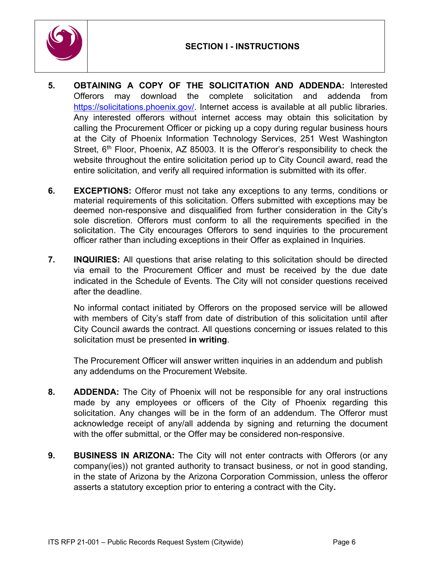

- **5. OBTAINING A COPY OF THE SOLICITATION AND ADDENDA:** Interested Offerors may download the complete solicitation and addenda from [https://solicitations.phoenix.gov/.](https://solicitations.phoenix.gov/) Internet access is available at all public libraries. Any interested offerors without internet access may obtain this solicitation by calling the Procurement Officer or picking up a copy during regular business hours at the City of Phoenix Information Technology Services, 251 West Washington Street,  $6<sup>th</sup>$  Floor, Phoenix, AZ 85003. It is the Offeror's responsibility to check the website throughout the entire solicitation period up to City Council award, read the entire solicitation, and verify all required information is submitted with its offer.
- **6. EXCEPTIONS:** Offeror must not take any exceptions to any terms, conditions or material requirements of this solicitation. Offers submitted with exceptions may be deemed non-responsive and disqualified from further consideration in the City's sole discretion. Offerors must conform to all the requirements specified in the solicitation. The City encourages Offerors to send inquiries to the procurement officer rather than including exceptions in their Offer as explained in Inquiries.
- **7. INQUIRIES:** All questions that arise relating to this solicitation should be directed via email to the Procurement Officer and must be received by the due date indicated in the Schedule of Events. The City will not consider questions received after the deadline.

No informal contact initiated by Offerors on the proposed service will be allowed with members of City's staff from date of distribution of this solicitation until after City Council awards the contract. All questions concerning or issues related to this solicitation must be presented **in writing**.

The Procurement Officer will answer written inquiries in an addendum and publish any addendums on the Procurement Website.

- **8. ADDENDA:** The City of Phoenix will not be responsible for any oral instructions made by any employees or officers of the City of Phoenix regarding this solicitation. Any changes will be in the form of an addendum. The Offeror must acknowledge receipt of any/all addenda by signing and returning the document with the offer submittal, or the Offer may be considered non-responsive.
- **9. BUSINESS IN ARIZONA:** The City will not enter contracts with Offerors (or any company(ies)) not granted authority to transact business, or not in good standing, in the state of Arizona by the Arizona Corporation Commission, unless the offeror asserts a statutory exception prior to entering a contract with the City**.**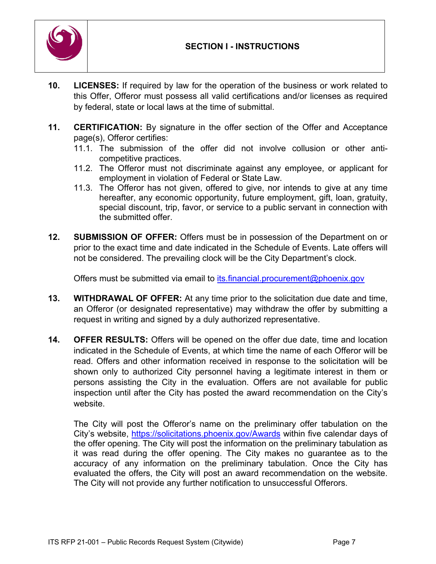

- **10. LICENSES:** If required by law for the operation of the business or work related to this Offer, Offeror must possess all valid certifications and/or licenses as required by federal, state or local laws at the time of submittal.
- **11. CERTIFICATION:** By signature in the offer section of the Offer and Acceptance page(s), Offeror certifies:
	- 11.1. The submission of the offer did not involve collusion or other anticompetitive practices.
	- 11.2. The Offeror must not discriminate against any employee, or applicant for employment in violation of Federal or State Law.
	- 11.3. The Offeror has not given, offered to give, nor intends to give at any time hereafter, any economic opportunity, future employment, gift, loan, gratuity, special discount, trip, favor, or service to a public servant in connection with the submitted offer.
- **12. SUBMISSION OF OFFER:** Offers must be in possession of the Department on or prior to the exact time and date indicated in the Schedule of Events. Late offers will not be considered. The prevailing clock will be the City Department's clock.

Offers must be submitted via email to [its.financial.procurement@phoenix.gov](mailto:its.financial.procurement@phoenix.gov)

- **13. WITHDRAWAL OF OFFER:** At any time prior to the solicitation due date and time, an Offeror (or designated representative) may withdraw the offer by submitting a request in writing and signed by a duly authorized representative.
- **14. OFFER RESULTS:** Offers will be opened on the offer due date, time and location indicated in the Schedule of Events, at which time the name of each Offeror will be read. Offers and other information received in response to the solicitation will be shown only to authorized City personnel having a legitimate interest in them or persons assisting the City in the evaluation. Offers are not available for public inspection until after the City has posted the award recommendation on the City's website.

The City will post the Offeror's name on the preliminary offer tabulation on the City's website,<https://solicitations.phoenix.gov/Awards> within five calendar days of the offer opening. The City will post the information on the preliminary tabulation as it was read during the offer opening. The City makes no guarantee as to the accuracy of any information on the preliminary tabulation. Once the City has evaluated the offers, the City will post an award recommendation on the website. The City will not provide any further notification to unsuccessful Offerors.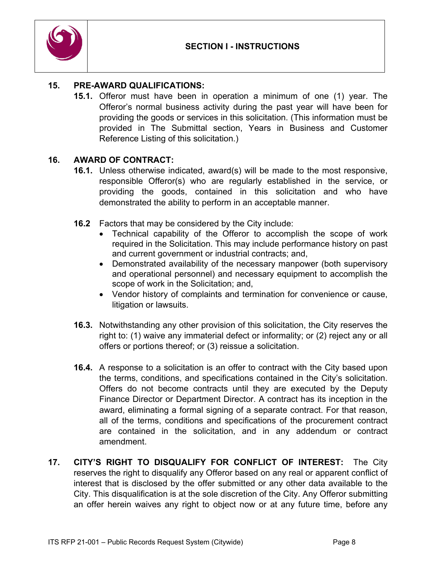

### **15. PRE-AWARD QUALIFICATIONS:**

**15.1.** Offeror must have been in operation a minimum of one (1) year. The Offeror's normal business activity during the past year will have been for providing the goods or services in this solicitation. (This information must be provided in The Submittal section, Years in Business and Customer Reference Listing of this solicitation.)

### **16. AWARD OF CONTRACT:**

- **16.1.** Unless otherwise indicated, award(s) will be made to the most responsive, responsible Offeror(s) who are regularly established in the service, or providing the goods, contained in this solicitation and who have demonstrated the ability to perform in an acceptable manner.
- **16.2** Factors that may be considered by the City include:
	- Technical capability of the Offeror to accomplish the scope of work required in the Solicitation. This may include performance history on past and current government or industrial contracts; and,
	- Demonstrated availability of the necessary manpower (both supervisory and operational personnel) and necessary equipment to accomplish the scope of work in the Solicitation; and,
	- Vendor history of complaints and termination for convenience or cause, litigation or lawsuits.
- **16.3.** Notwithstanding any other provision of this solicitation, the City reserves the right to: (1) waive any immaterial defect or informality; or (2) reject any or all offers or portions thereof; or (3) reissue a solicitation.
- **16.4.** A response to a solicitation is an offer to contract with the City based upon the terms, conditions, and specifications contained in the City's solicitation. Offers do not become contracts until they are executed by the Deputy Finance Director or Department Director. A contract has its inception in the award, eliminating a formal signing of a separate contract. For that reason, all of the terms, conditions and specifications of the procurement contract are contained in the solicitation, and in any addendum or contract amendment.
- **17. CITY'S RIGHT TO DISQUALIFY FOR CONFLICT OF INTEREST:** The City reserves the right to disqualify any Offeror based on any real or apparent conflict of interest that is disclosed by the offer submitted or any other data available to the City. This disqualification is at the sole discretion of the City. Any Offeror submitting an offer herein waives any right to object now or at any future time, before any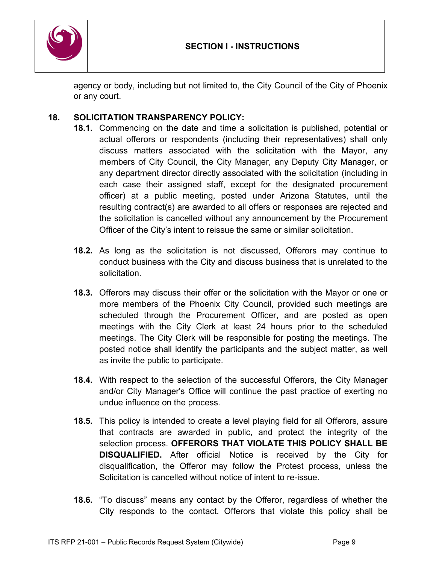

agency or body, including but not limited to, the City Council of the City of Phoenix or any court.

## **18. SOLICITATION TRANSPARENCY POLICY:**

- **18.1.** Commencing on the date and time a solicitation is published, potential or actual offerors or respondents (including their representatives) shall only discuss matters associated with the solicitation with the Mayor, any members of City Council, the City Manager, any Deputy City Manager, or any department director directly associated with the solicitation (including in each case their assigned staff, except for the designated procurement officer) at a public meeting, posted under Arizona Statutes, until the resulting contract(s) are awarded to all offers or responses are rejected and the solicitation is cancelled without any announcement by the Procurement Officer of the City's intent to reissue the same or similar solicitation.
- **18.2.** As long as the solicitation is not discussed, Offerors may continue to conduct business with the City and discuss business that is unrelated to the solicitation.
- **18.3.** Offerors may discuss their offer or the solicitation with the Mayor or one or more members of the Phoenix City Council, provided such meetings are scheduled through the Procurement Officer, and are posted as open meetings with the City Clerk at least 24 hours prior to the scheduled meetings. The City Clerk will be responsible for posting the meetings. The posted notice shall identify the participants and the subject matter, as well as invite the public to participate.
- **18.4.** With respect to the selection of the successful Offerors, the City Manager and/or City Manager's Office will continue the past practice of exerting no undue influence on the process.
- **18.5.** This policy is intended to create a level playing field for all Offerors, assure that contracts are awarded in public, and protect the integrity of the selection process. **OFFERORS THAT VIOLATE THIS POLICY SHALL BE DISQUALIFIED.** After official Notice is received by the City for disqualification, the Offeror may follow the Protest process, unless the Solicitation is cancelled without notice of intent to re-issue.
- **18.6.** "To discuss" means any contact by the Offeror, regardless of whether the City responds to the contact. Offerors that violate this policy shall be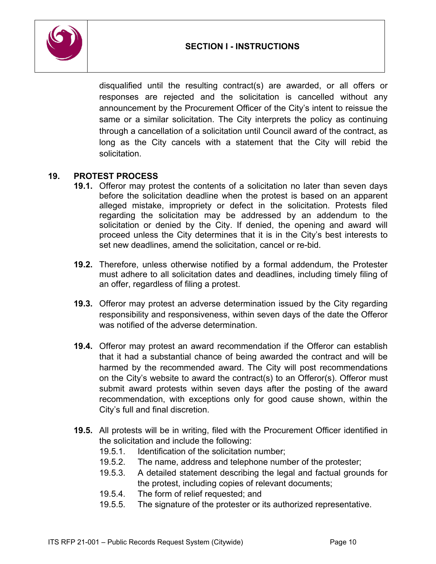



disqualified until the resulting contract(s) are awarded, or all offers or responses are rejected and the solicitation is cancelled without any announcement by the Procurement Officer of the City's intent to reissue the same or a similar solicitation. The City interprets the policy as continuing through a cancellation of a solicitation until Council award of the contract, as long as the City cancels with a statement that the City will rebid the solicitation.

### **19. PROTEST PROCESS**

- **19.1.** Offeror may protest the contents of a solicitation no later than seven days before the solicitation deadline when the protest is based on an apparent alleged mistake, impropriety or defect in the solicitation. Protests filed regarding the solicitation may be addressed by an addendum to the solicitation or denied by the City. If denied, the opening and award will proceed unless the City determines that it is in the City's best interests to set new deadlines, amend the solicitation, cancel or re-bid.
- **19.2.** Therefore, unless otherwise notified by a formal addendum, the Protester must adhere to all solicitation dates and deadlines, including timely filing of an offer, regardless of filing a protest.
- **19.3.** Offeror may protest an adverse determination issued by the City regarding responsibility and responsiveness, within seven days of the date the Offeror was notified of the adverse determination.
- **19.4.** Offeror may protest an award recommendation if the Offeror can establish that it had a substantial chance of being awarded the contract and will be harmed by the recommended award. The City will post recommendations on the City's website to award the contract(s) to an Offeror(s). Offeror must submit award protests within seven days after the posting of the award recommendation, with exceptions only for good cause shown, within the City's full and final discretion.
- **19.5.** All protests will be in writing, filed with the Procurement Officer identified in the solicitation and include the following:
	- 19.5.1. Identification of the solicitation number;
	- 19.5.2. The name, address and telephone number of the protester;
	- 19.5.3. A detailed statement describing the legal and factual grounds for the protest, including copies of relevant documents;
	- 19.5.4. The form of relief requested; and
	- 19.5.5. The signature of the protester or its authorized representative.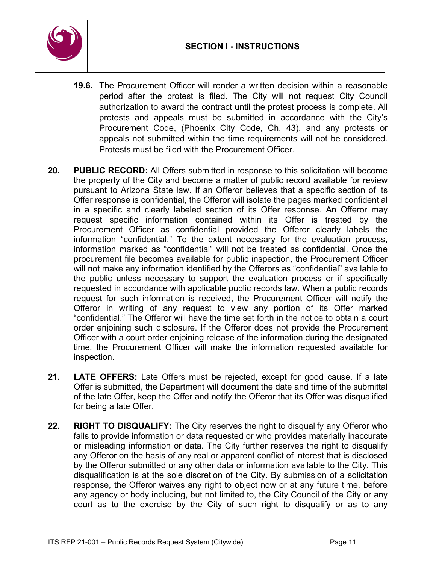

- **19.6.** The Procurement Officer will render a written decision within a reasonable period after the protest is filed. The City will not request City Council authorization to award the contract until the protest process is complete. All protests and appeals must be submitted in accordance with the City's Procurement Code, (Phoenix City Code, Ch. 43), and any protests or appeals not submitted within the time requirements will not be considered. Protests must be filed with the Procurement Officer.
- **20. PUBLIC RECORD:** All Offers submitted in response to this solicitation will become the property of the City and become a matter of public record available for review pursuant to Arizona State law. If an Offeror believes that a specific section of its Offer response is confidential, the Offeror will isolate the pages marked confidential in a specific and clearly labeled section of its Offer response. An Offeror may request specific information contained within its Offer is treated by the Procurement Officer as confidential provided the Offeror clearly labels the information "confidential." To the extent necessary for the evaluation process, information marked as "confidential" will not be treated as confidential. Once the procurement file becomes available for public inspection, the Procurement Officer will not make any information identified by the Offerors as "confidential" available to the public unless necessary to support the evaluation process or if specifically requested in accordance with applicable public records law. When a public records request for such information is received, the Procurement Officer will notify the Offeror in writing of any request to view any portion of its Offer marked "confidential." The Offeror will have the time set forth in the notice to obtain a court order enjoining such disclosure. If the Offeror does not provide the Procurement Officer with a court order enjoining release of the information during the designated time, the Procurement Officer will make the information requested available for inspection.
- **21. LATE OFFERS:** Late Offers must be rejected, except for good cause. If a late Offer is submitted, the Department will document the date and time of the submittal of the late Offer, keep the Offer and notify the Offeror that its Offer was disqualified for being a late Offer.
- **22. RIGHT TO DISQUALIFY:** The City reserves the right to disqualify any Offeror who fails to provide information or data requested or who provides materially inaccurate or misleading information or data. The City further reserves the right to disqualify any Offeror on the basis of any real or apparent conflict of interest that is disclosed by the Offeror submitted or any other data or information available to the City. This disqualification is at the sole discretion of the City. By submission of a solicitation response, the Offeror waives any right to object now or at any future time, before any agency or body including, but not limited to, the City Council of the City or any court as to the exercise by the City of such right to disqualify or as to any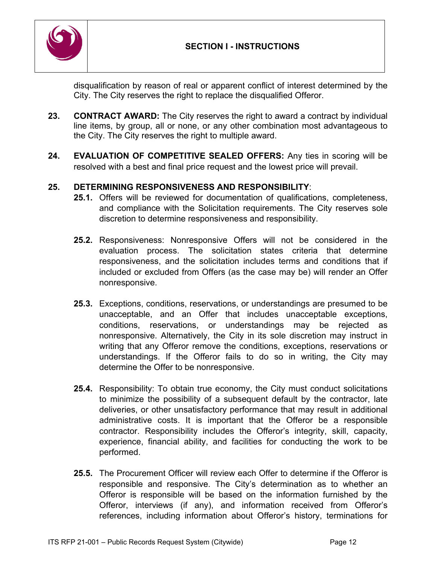

disqualification by reason of real or apparent conflict of interest determined by the City. The City reserves the right to replace the disqualified Offeror.

- **23. CONTRACT AWARD:** The City reserves the right to award a contract by individual line items, by group, all or none, or any other combination most advantageous to the City. The City reserves the right to multiple award.
- **24. EVALUATION OF COMPETITIVE SEALED OFFERS:** Any ties in scoring will be resolved with a best and final price request and the lowest price will prevail.

## **25. DETERMINING RESPONSIVENESS AND RESPONSIBILITY**:

- **25.1.** Offers will be reviewed for documentation of qualifications, completeness, and compliance with the Solicitation requirements. The City reserves sole discretion to determine responsiveness and responsibility.
- **25.2.** Responsiveness: Nonresponsive Offers will not be considered in the evaluation process. The solicitation states criteria that determine responsiveness, and the solicitation includes terms and conditions that if included or excluded from Offers (as the case may be) will render an Offer nonresponsive.
- **25.3.** Exceptions, conditions, reservations, or understandings are presumed to be unacceptable, and an Offer that includes unacceptable exceptions, conditions, reservations, or understandings may be rejected as nonresponsive. Alternatively, the City in its sole discretion may instruct in writing that any Offeror remove the conditions, exceptions, reservations or understandings. If the Offeror fails to do so in writing, the City may determine the Offer to be nonresponsive.
- **25.4.** Responsibility: To obtain true economy, the City must conduct solicitations to minimize the possibility of a subsequent default by the contractor, late deliveries, or other unsatisfactory performance that may result in additional administrative costs. It is important that the Offeror be a responsible contractor. Responsibility includes the Offeror's integrity, skill, capacity, experience, financial ability, and facilities for conducting the work to be performed.
- **25.5.** The Procurement Officer will review each Offer to determine if the Offeror is responsible and responsive. The City's determination as to whether an Offeror is responsible will be based on the information furnished by the Offeror, interviews (if any), and information received from Offeror's references, including information about Offeror's history, terminations for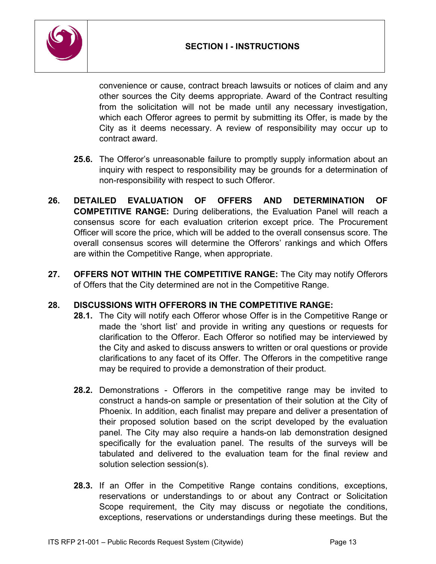

convenience or cause, contract breach lawsuits or notices of claim and any other sources the City deems appropriate. Award of the Contract resulting from the solicitation will not be made until any necessary investigation, which each Offeror agrees to permit by submitting its Offer, is made by the City as it deems necessary. A review of responsibility may occur up to contract award.

- **25.6.** The Offeror's unreasonable failure to promptly supply information about an inquiry with respect to responsibility may be grounds for a determination of non-responsibility with respect to such Offeror.
- **26. DETAILED EVALUATION OF OFFERS AND DETERMINATION OF COMPETITIVE RANGE:** During deliberations, the Evaluation Panel will reach a consensus score for each evaluation criterion except price. The Procurement Officer will score the price, which will be added to the overall consensus score. The overall consensus scores will determine the Offerors' rankings and which Offers are within the Competitive Range, when appropriate.
- **27. OFFERS NOT WITHIN THE COMPETITIVE RANGE:** The City may notify Offerors of Offers that the City determined are not in the Competitive Range.

## **28. DISCUSSIONS WITH OFFERORS IN THE COMPETITIVE RANGE:**

- **28.1.** The City will notify each Offeror whose Offer is in the Competitive Range or made the 'short list' and provide in writing any questions or requests for clarification to the Offeror. Each Offeror so notified may be interviewed by the City and asked to discuss answers to written or oral questions or provide clarifications to any facet of its Offer. The Offerors in the competitive range may be required to provide a demonstration of their product.
- **28.2.** Demonstrations Offerors in the competitive range may be invited to construct a hands-on sample or presentation of their solution at the City of Phoenix. In addition, each finalist may prepare and deliver a presentation of their proposed solution based on the script developed by the evaluation panel. The City may also require a hands-on lab demonstration designed specifically for the evaluation panel. The results of the surveys will be tabulated and delivered to the evaluation team for the final review and solution selection session(s).
- **28.3.** If an Offer in the Competitive Range contains conditions, exceptions, reservations or understandings to or about any Contract or Solicitation Scope requirement, the City may discuss or negotiate the conditions, exceptions, reservations or understandings during these meetings. But the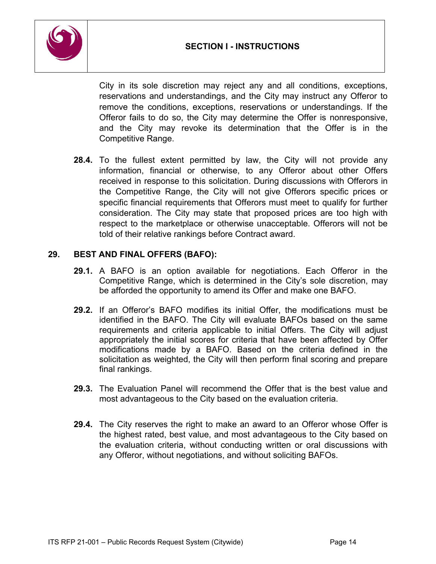

City in its sole discretion may reject any and all conditions, exceptions, reservations and understandings, and the City may instruct any Offeror to remove the conditions, exceptions, reservations or understandings. If the Offeror fails to do so, the City may determine the Offer is nonresponsive, and the City may revoke its determination that the Offer is in the Competitive Range.

**28.4.** To the fullest extent permitted by law, the City will not provide any information, financial or otherwise, to any Offeror about other Offers received in response to this solicitation. During discussions with Offerors in the Competitive Range, the City will not give Offerors specific prices or specific financial requirements that Offerors must meet to qualify for further consideration. The City may state that proposed prices are too high with respect to the marketplace or otherwise unacceptable. Offerors will not be told of their relative rankings before Contract award.

## **29. BEST AND FINAL OFFERS (BAFO):**

- **29.1.** A BAFO is an option available for negotiations. Each Offeror in the Competitive Range, which is determined in the City's sole discretion, may be afforded the opportunity to amend its Offer and make one BAFO.
- **29.2.** If an Offeror's BAFO modifies its initial Offer, the modifications must be identified in the BAFO. The City will evaluate BAFOs based on the same requirements and criteria applicable to initial Offers. The City will adjust appropriately the initial scores for criteria that have been affected by Offer modifications made by a BAFO. Based on the criteria defined in the solicitation as weighted, the City will then perform final scoring and prepare final rankings.
- **29.3.** The Evaluation Panel will recommend the Offer that is the best value and most advantageous to the City based on the evaluation criteria.
- **29.4.** The City reserves the right to make an award to an Offeror whose Offer is the highest rated, best value, and most advantageous to the City based on the evaluation criteria, without conducting written or oral discussions with any Offeror, without negotiations, and without soliciting BAFOs.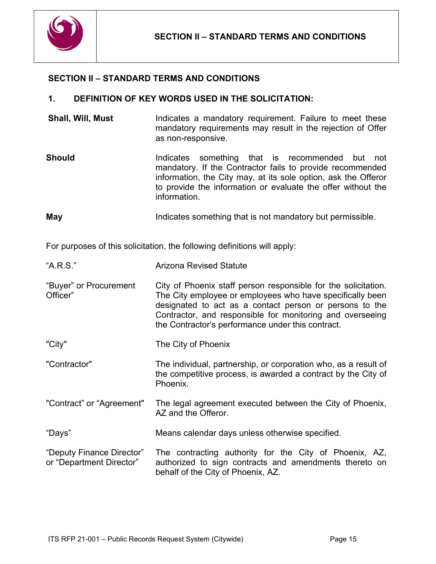

### <span id="page-14-0"></span>**SECTION II – STANDARD TERMS AND CONDITIONS**

#### **1. DEFINITION OF KEY WORDS USED IN THE SOLICITATION:**

- **Shall, Will, Must** Indicates a mandatory requirement. Failure to meet these mandatory requirements may result in the rejection of Offer as non-responsive.
- **Should Indicates** something that is recommended but not mandatory. If the Contractor fails to provide recommended information, the City may, at its sole option, ask the Offeror to provide the information or evaluate the offer without the information.

**May Indicates something that is not mandatory but permissible.** 

For purposes of this solicitation, the following definitions will apply:

| "A.R.S." | <b>Arizona Revised Statute</b> |
|----------|--------------------------------|
|          |                                |

- "Buyer" or Procurement Officer" City of Phoenix staff person responsible for the solicitation. The City employee or employees who have specifically been designated to act as a contact person or persons to the Contractor, and responsible for monitoring and overseeing the Contractor's performance under this contract.
- "City" The City of Phoenix
- "Contractor" The individual, partnership, or corporation who, as a result of the competitive process, is awarded a contract by the City of Phoenix.
- "Contract" or "Agreement" The legal agreement executed between the City of Phoenix, AZ and the Offeror.
- "Days" Means calendar days unless otherwise specified.
- "Deputy Finance Director" or "Department Director" The contracting authority for the City of Phoenix, AZ, authorized to sign contracts and amendments thereto on behalf of the City of Phoenix, AZ.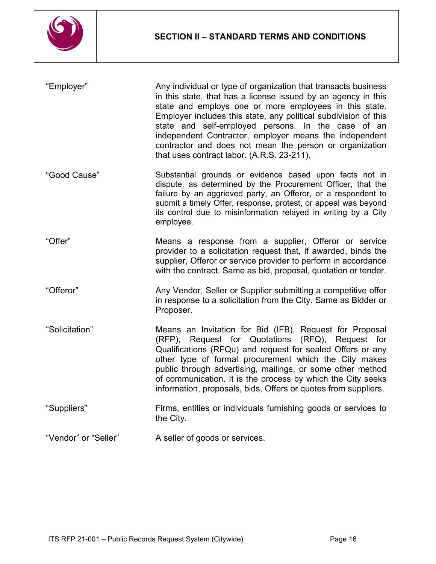

| "Employer"           | Any individual or type of organization that transacts business<br>in this state, that has a license issued by an agency in this<br>state and employs one or more employees in this state.<br>Employer includes this state, any political subdivision of this<br>state and self-employed persons. In the case of an<br>independent Contractor, employer means the independent<br>contractor and does not mean the person or organization<br>that uses contract labor. (A.R.S. 23-211). |
|----------------------|---------------------------------------------------------------------------------------------------------------------------------------------------------------------------------------------------------------------------------------------------------------------------------------------------------------------------------------------------------------------------------------------------------------------------------------------------------------------------------------|
| "Good Cause"         | Substantial grounds or evidence based upon facts not in<br>dispute, as determined by the Procurement Officer, that the<br>failure by an aggrieved party, an Offeror, or a respondent to<br>submit a timely Offer, response, protest, or appeal was beyond<br>its control due to misinformation relayed in writing by a City<br>employee.                                                                                                                                              |
| "Offer"              | Means a response from a supplier, Offeror or service<br>provider to a solicitation request that, if awarded, binds the<br>supplier, Offeror or service provider to perform in accordance<br>with the contract. Same as bid, proposal, quotation or tender.                                                                                                                                                                                                                            |
| "Offeror"            | Any Vendor, Seller or Supplier submitting a competitive offer<br>in response to a solicitation from the City. Same as Bidder or<br>Proposer.                                                                                                                                                                                                                                                                                                                                          |
| "Solicitation"       | Means an Invitation for Bid (IFB), Request for Proposal<br>(RFP), Request for Quotations (RFQ), Request for<br>Qualifications (RFQu) and request for sealed Offers or any<br>other type of formal procurement which the City makes<br>public through advertising, mailings, or some other method<br>of communication. It is the process by which the City seeks<br>information, proposals, bids, Offers or quotes from suppliers.                                                     |
| "Suppliers"          | Firms, entities or individuals furnishing goods or services to<br>the City.                                                                                                                                                                                                                                                                                                                                                                                                           |
| "Vendor" or "Seller" | A seller of goods or services.                                                                                                                                                                                                                                                                                                                                                                                                                                                        |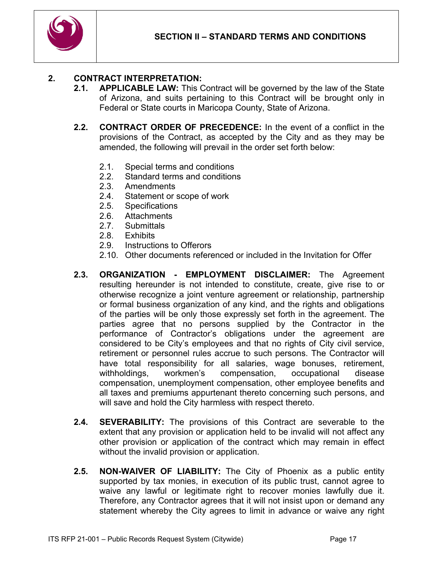

## **2. CONTRACT INTERPRETATION:**

- **2.1. APPLICABLE LAW:** This Contract will be governed by the law of the State of Arizona, and suits pertaining to this Contract will be brought only in Federal or State courts in Maricopa County, State of Arizona.
- **2.2. CONTRACT ORDER OF PRECEDENCE:** In the event of a conflict in the provisions of the Contract, as accepted by the City and as they may be amended, the following will prevail in the order set forth below:
	- 2.1. Special terms and conditions<br>2.2. Standard terms and condition
	- Standard terms and conditions
	- 2.3. Amendments
	- 2.4. Statement or scope of work
	- 2.5. Specifications
	- 2.6. Attachments
	- 2.7. Submittals
	- 2.8. Exhibits
	- 2.9. Instructions to Offerors
	- 2.10. Other documents referenced or included in the Invitation for Offer
- **2.3. ORGANIZATION - EMPLOYMENT DISCLAIMER:** The Agreement resulting hereunder is not intended to constitute, create, give rise to or otherwise recognize a joint venture agreement or relationship, partnership or formal business organization of any kind, and the rights and obligations of the parties will be only those expressly set forth in the agreement. The parties agree that no persons supplied by the Contractor in the performance of Contractor's obligations under the agreement are considered to be City's employees and that no rights of City civil service, retirement or personnel rules accrue to such persons. The Contractor will have total responsibility for all salaries, wage bonuses, retirement, withholdings, workmen's compensation, occupational disease compensation, unemployment compensation, other employee benefits and all taxes and premiums appurtenant thereto concerning such persons, and will save and hold the City harmless with respect thereto.
- **2.4. SEVERABILITY:** The provisions of this Contract are severable to the extent that any provision or application held to be invalid will not affect any other provision or application of the contract which may remain in effect without the invalid provision or application.
- **2.5. NON-WAIVER OF LIABILITY:** The City of Phoenix as a public entity supported by tax monies, in execution of its public trust, cannot agree to waive any lawful or legitimate right to recover monies lawfully due it. Therefore, any Contractor agrees that it will not insist upon or demand any statement whereby the City agrees to limit in advance or waive any right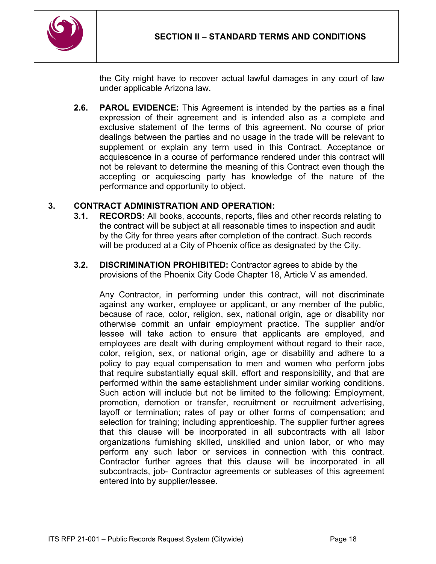

the City might have to recover actual lawful damages in any court of law under applicable Arizona law.

**2.6. PAROL EVIDENCE:** This Agreement is intended by the parties as a final expression of their agreement and is intended also as a complete and exclusive statement of the terms of this agreement. No course of prior dealings between the parties and no usage in the trade will be relevant to supplement or explain any term used in this Contract. Acceptance or acquiescence in a course of performance rendered under this contract will not be relevant to determine the meaning of this Contract even though the accepting or acquiescing party has knowledge of the nature of the performance and opportunity to object.

### **3. CONTRACT ADMINISTRATION AND OPERATION:**

- **3.1. RECORDS:** All books, accounts, reports, files and other records relating to the contract will be subject at all reasonable times to inspection and audit by the City for three years after completion of the contract. Such records will be produced at a City of Phoenix office as designated by the City.
- **3.2. DISCRIMINATION PROHIBITED:** Contractor agrees to abide by the provisions of the Phoenix City Code Chapter 18, Article V as amended.

Any Contractor, in performing under this contract, will not discriminate against any worker, employee or applicant, or any member of the public, because of race, color, religion, sex, national origin, age or disability nor otherwise commit an unfair employment practice. The supplier and/or lessee will take action to ensure that applicants are employed, and employees are dealt with during employment without regard to their race, color, religion, sex, or national origin, age or disability and adhere to a policy to pay equal compensation to men and women who perform jobs that require substantially equal skill, effort and responsibility, and that are performed within the same establishment under similar working conditions. Such action will include but not be limited to the following: Employment, promotion, demotion or transfer, recruitment or recruitment advertising, layoff or termination; rates of pay or other forms of compensation; and selection for training; including apprenticeship. The supplier further agrees that this clause will be incorporated in all subcontracts with all labor organizations furnishing skilled, unskilled and union labor, or who may perform any such labor or services in connection with this contract. Contractor further agrees that this clause will be incorporated in all subcontracts, job- Contractor agreements or subleases of this agreement entered into by supplier/lessee.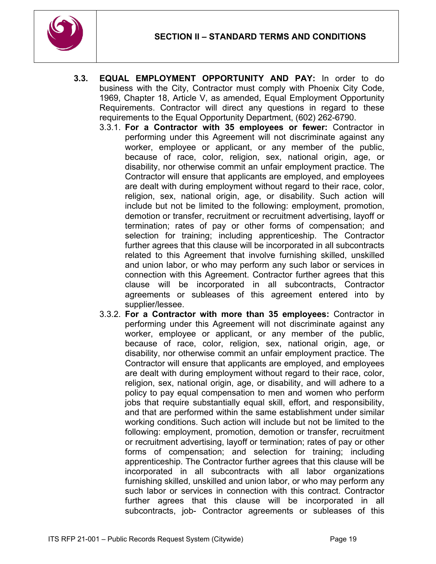

- **3.3. EQUAL EMPLOYMENT OPPORTUNITY AND PAY:** In order to do business with the City, Contractor must comply with Phoenix City Code, 1969, Chapter 18, Article V, as amended, Equal Employment Opportunity Requirements. Contractor will direct any questions in regard to these requirements to the Equal Opportunity Department, (602) 262-6790.
	- 3.3.1. **For a Contractor with 35 employees or fewer:** Contractor in performing under this Agreement will not discriminate against any worker, employee or applicant, or any member of the public, because of race, color, religion, sex, national origin, age, or disability, nor otherwise commit an unfair employment practice. The Contractor will ensure that applicants are employed, and employees are dealt with during employment without regard to their race, color, religion, sex, national origin, age, or disability. Such action will include but not be limited to the following: employment, promotion, demotion or transfer, recruitment or recruitment advertising, layoff or termination; rates of pay or other forms of compensation; and selection for training; including apprenticeship. The Contractor further agrees that this clause will be incorporated in all subcontracts related to this Agreement that involve furnishing skilled, unskilled and union labor, or who may perform any such labor or services in connection with this Agreement. Contractor further agrees that this clause will be incorporated in all subcontracts, Contractor agreements or subleases of this agreement entered into by supplier/lessee.
	- 3.3.2. **For a Contractor with more than 35 employees:** Contractor in performing under this Agreement will not discriminate against any worker, employee or applicant, or any member of the public, because of race, color, religion, sex, national origin, age, or disability, nor otherwise commit an unfair employment practice. The Contractor will ensure that applicants are employed, and employees are dealt with during employment without regard to their race, color, religion, sex, national origin, age, or disability, and will adhere to a policy to pay equal compensation to men and women who perform jobs that require substantially equal skill, effort, and responsibility, and that are performed within the same establishment under similar working conditions. Such action will include but not be limited to the following: employment, promotion, demotion or transfer, recruitment or recruitment advertising, layoff or termination; rates of pay or other forms of compensation; and selection for training; including apprenticeship. The Contractor further agrees that this clause will be incorporated in all subcontracts with all labor organizations furnishing skilled, unskilled and union labor, or who may perform any such labor or services in connection with this contract. Contractor further agrees that this clause will be incorporated in all subcontracts, job- Contractor agreements or subleases of this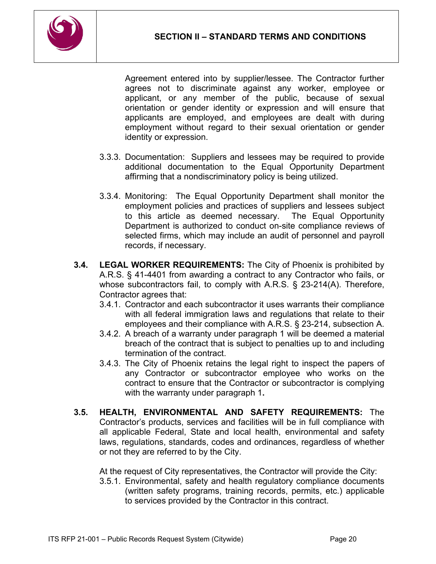

Agreement entered into by supplier/lessee. The Contractor further agrees not to discriminate against any worker, employee or applicant, or any member of the public, because of sexual orientation or gender identity or expression and will ensure that applicants are employed, and employees are dealt with during employment without regard to their sexual orientation or gender identity or expression.

- 3.3.3. Documentation: Suppliers and lessees may be required to provide additional documentation to the Equal Opportunity Department affirming that a nondiscriminatory policy is being utilized.
- 3.3.4. Monitoring: The Equal Opportunity Department shall monitor the employment policies and practices of suppliers and lessees subject to this article as deemed necessary. The Equal Opportunity Department is authorized to conduct on-site compliance reviews of selected firms, which may include an audit of personnel and payroll records, if necessary.
- **3.4. LEGAL WORKER REQUIREMENTS:** The City of Phoenix is prohibited by A.R.S. § 41-4401 from awarding a contract to any Contractor who fails, or whose subcontractors fail, to comply with A.R.S. § 23-214(A). Therefore, Contractor agrees that:
	- 3.4.1. Contractor and each subcontractor it uses warrants their compliance with all federal immigration laws and regulations that relate to their employees and their compliance with A.R.S. § 23-214, subsection A.
	- 3.4.2. A breach of a warranty under paragraph 1 will be deemed a material breach of the contract that is subject to penalties up to and including termination of the contract.
	- 3.4.3. The City of Phoenix retains the legal right to inspect the papers of any Contractor or subcontractor employee who works on the contract to ensure that the Contractor or subcontractor is complying with the warranty under paragraph 1**.**
- **3.5. HEALTH, ENVIRONMENTAL AND SAFETY REQUIREMENTS:** The Contractor's products, services and facilities will be in full compliance with all applicable Federal, State and local health, environmental and safety laws, regulations, standards, codes and ordinances, regardless of whether or not they are referred to by the City.

At the request of City representatives, the Contractor will provide the City:

3.5.1. Environmental, safety and health regulatory compliance documents (written safety programs, training records, permits, etc.) applicable to services provided by the Contractor in this contract.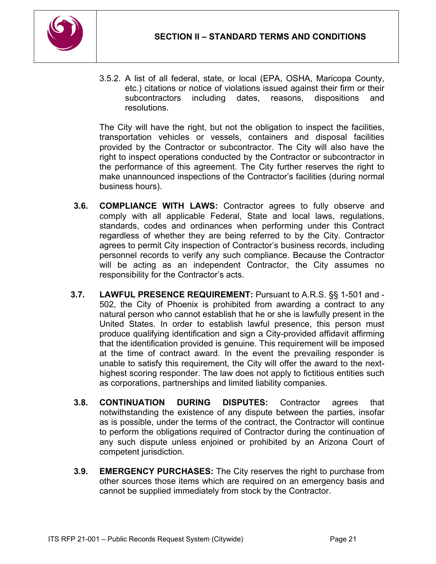

3.5.2. A list of all federal, state, or local (EPA, OSHA, Maricopa County, etc.) citations or notice of violations issued against their firm or their subcontractors including dates, reasons, dispositions and resolutions.

The City will have the right, but not the obligation to inspect the facilities, transportation vehicles or vessels, containers and disposal facilities provided by the Contractor or subcontractor. The City will also have the right to inspect operations conducted by the Contractor or subcontractor in the performance of this agreement. The City further reserves the right to make unannounced inspections of the Contractor's facilities (during normal business hours).

- **3.6. COMPLIANCE WITH LAWS:** Contractor agrees to fully observe and comply with all applicable Federal, State and local laws, regulations, standards, codes and ordinances when performing under this Contract regardless of whether they are being referred to by the City. Contractor agrees to permit City inspection of Contractor's business records, including personnel records to verify any such compliance. Because the Contractor will be acting as an independent Contractor, the City assumes no responsibility for the Contractor's acts.
- **3.7. LAWFUL PRESENCE REQUIREMENT:** Pursuant to A.R.S. §§ 1-501 and 502, the City of Phoenix is prohibited from awarding a contract to any natural person who cannot establish that he or she is lawfully present in the United States. In order to establish lawful presence, this person must produce qualifying identification and sign a City-provided affidavit affirming that the identification provided is genuine. This requirement will be imposed at the time of contract award. In the event the prevailing responder is unable to satisfy this requirement, the City will offer the award to the nexthighest scoring responder. The law does not apply to fictitious entities such as corporations, partnerships and limited liability companies.
- **3.8. CONTINUATION DURING DISPUTES:** Contractor agrees that notwithstanding the existence of any dispute between the parties, insofar as is possible, under the terms of the contract, the Contractor will continue to perform the obligations required of Contractor during the continuation of any such dispute unless enjoined or prohibited by an Arizona Court of competent jurisdiction.
- **3.9. EMERGENCY PURCHASES:** The City reserves the right to purchase from other sources those items which are required on an emergency basis and cannot be supplied immediately from stock by the Contractor.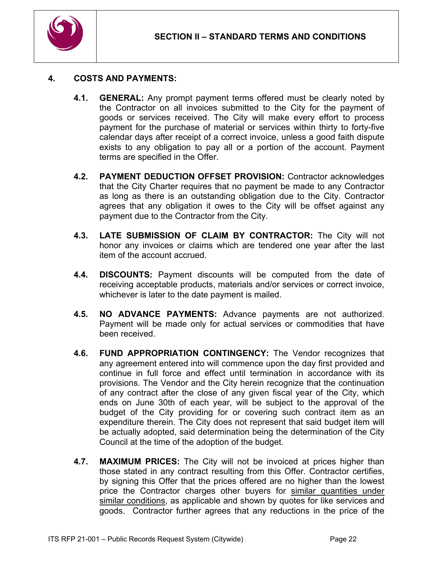

### **4. COSTS AND PAYMENTS:**

- **4.1. GENERAL:** Any prompt payment terms offered must be clearly noted by the Contractor on all invoices submitted to the City for the payment of goods or services received. The City will make every effort to process payment for the purchase of material or services within thirty to forty-five calendar days after receipt of a correct invoice, unless a good faith dispute exists to any obligation to pay all or a portion of the account. Payment terms are specified in the Offer.
- **4.2. PAYMENT DEDUCTION OFFSET PROVISION:** Contractor acknowledges that the City Charter requires that no payment be made to any Contractor as long as there is an outstanding obligation due to the City. Contractor agrees that any obligation it owes to the City will be offset against any payment due to the Contractor from the City.
- **4.3. LATE SUBMISSION OF CLAIM BY CONTRACTOR:** The City will not honor any invoices or claims which are tendered one year after the last item of the account accrued.
- **4.4. DISCOUNTS:** Payment discounts will be computed from the date of receiving acceptable products, materials and/or services or correct invoice, whichever is later to the date payment is mailed.
- **4.5. NO ADVANCE PAYMENTS:** Advance payments are not authorized. Payment will be made only for actual services or commodities that have been received.
- **4.6. FUND APPROPRIATION CONTINGENCY:** The Vendor recognizes that any agreement entered into will commence upon the day first provided and continue in full force and effect until termination in accordance with its provisions. The Vendor and the City herein recognize that the continuation of any contract after the close of any given fiscal year of the City, which ends on June 30th of each year, will be subject to the approval of the budget of the City providing for or covering such contract item as an expenditure therein. The City does not represent that said budget item will be actually adopted, said determination being the determination of the City Council at the time of the adoption of the budget.
- **4.7. MAXIMUM PRICES:** The City will not be invoiced at prices higher than those stated in any contract resulting from this Offer. Contractor certifies, by signing this Offer that the prices offered are no higher than the lowest price the Contractor charges other buyers for similar quantities under similar conditions, as applicable and shown by quotes for like services and goods. Contractor further agrees that any reductions in the price of the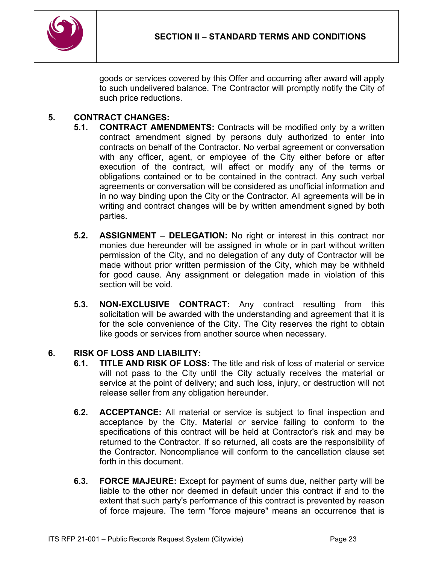

goods or services covered by this Offer and occurring after award will apply to such undelivered balance. The Contractor will promptly notify the City of such price reductions.

## **5. CONTRACT CHANGES:**

- **5.1. CONTRACT AMENDMENTS:** Contracts will be modified only by a written contract amendment signed by persons duly authorized to enter into contracts on behalf of the Contractor. No verbal agreement or conversation with any officer, agent, or employee of the City either before or after execution of the contract, will affect or modify any of the terms or obligations contained or to be contained in the contract. Any such verbal agreements or conversation will be considered as unofficial information and in no way binding upon the City or the Contractor. All agreements will be in writing and contract changes will be by written amendment signed by both parties.
- **5.2. ASSIGNMENT – DELEGATION:** No right or interest in this contract nor monies due hereunder will be assigned in whole or in part without written permission of the City, and no delegation of any duty of Contractor will be made without prior written permission of the City, which may be withheld for good cause. Any assignment or delegation made in violation of this section will be void.
- **5.3. NON-EXCLUSIVE CONTRACT:** Any contract resulting from this solicitation will be awarded with the understanding and agreement that it is for the sole convenience of the City. The City reserves the right to obtain like goods or services from another source when necessary.

## **6. RISK OF LOSS AND LIABILITY:**

- **6.1. TITLE AND RISK OF LOSS:** The title and risk of loss of material or service will not pass to the City until the City actually receives the material or service at the point of delivery; and such loss, injury, or destruction will not release seller from any obligation hereunder.
- **6.2. ACCEPTANCE:** All material or service is subject to final inspection and acceptance by the City. Material or service failing to conform to the specifications of this contract will be held at Contractor's risk and may be returned to the Contractor. If so returned, all costs are the responsibility of the Contractor. Noncompliance will conform to the cancellation clause set forth in this document.
- **6.3. FORCE MAJEURE:** Except for payment of sums due, neither party will be liable to the other nor deemed in default under this contract if and to the extent that such party's performance of this contract is prevented by reason of force majeure. The term "force majeure" means an occurrence that is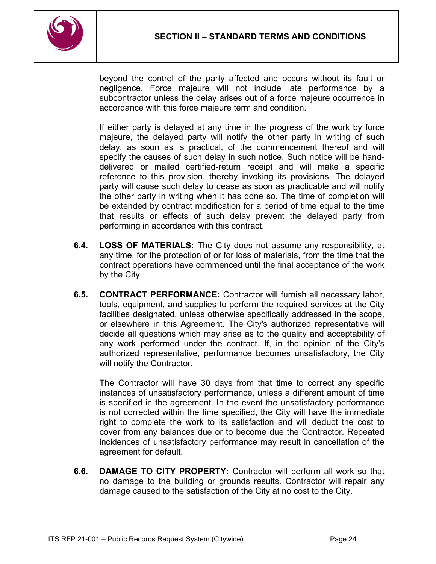

beyond the control of the party affected and occurs without its fault or negligence. Force majeure will not include late performance by a subcontractor unless the delay arises out of a force majeure occurrence in accordance with this force majeure term and condition.

If either party is delayed at any time in the progress of the work by force majeure, the delayed party will notify the other party in writing of such delay, as soon as is practical, of the commencement thereof and will specify the causes of such delay in such notice. Such notice will be handdelivered or mailed certified-return receipt and will make a specific reference to this provision, thereby invoking its provisions. The delayed party will cause such delay to cease as soon as practicable and will notify the other party in writing when it has done so. The time of completion will be extended by contract modification for a period of time equal to the time that results or effects of such delay prevent the delayed party from performing in accordance with this contract.

- **6.4. LOSS OF MATERIALS:** The City does not assume any responsibility, at any time, for the protection of or for loss of materials, from the time that the contract operations have commenced until the final acceptance of the work by the City.
- **6.5. CONTRACT PERFORMANCE:** Contractor will furnish all necessary labor, tools, equipment, and supplies to perform the required services at the City facilities designated, unless otherwise specifically addressed in the scope, or elsewhere in this Agreement. The City's authorized representative will decide all questions which may arise as to the quality and acceptability of any work performed under the contract. If, in the opinion of the City's authorized representative, performance becomes unsatisfactory, the City will notify the Contractor.

The Contractor will have 30 days from that time to correct any specific instances of unsatisfactory performance, unless a different amount of time is specified in the agreement. In the event the unsatisfactory performance is not corrected within the time specified, the City will have the immediate right to complete the work to its satisfaction and will deduct the cost to cover from any balances due or to become due the Contractor. Repeated incidences of unsatisfactory performance may result in cancellation of the agreement for default.

**6.6. DAMAGE TO CITY PROPERTY:** Contractor will perform all work so that no damage to the building or grounds results. Contractor will repair any damage caused to the satisfaction of the City at no cost to the City.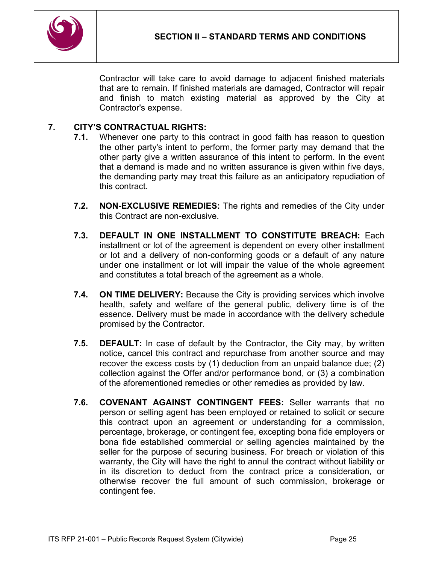

Contractor will take care to avoid damage to adjacent finished materials that are to remain. If finished materials are damaged, Contractor will repair and finish to match existing material as approved by the City at Contractor's expense.

## **7. CITY'S CONTRACTUAL RIGHTS:**

- **7.1.** Whenever one party to this contract in good faith has reason to question the other party's intent to perform, the former party may demand that the other party give a written assurance of this intent to perform. In the event that a demand is made and no written assurance is given within five days, the demanding party may treat this failure as an anticipatory repudiation of this contract.
- **7.2. NON-EXCLUSIVE REMEDIES:** The rights and remedies of the City under this Contract are non-exclusive.
- **7.3. DEFAULT IN ONE INSTALLMENT TO CONSTITUTE BREACH:** Each installment or lot of the agreement is dependent on every other installment or lot and a delivery of non-conforming goods or a default of any nature under one installment or lot will impair the value of the whole agreement and constitutes a total breach of the agreement as a whole.
- **7.4. ON TIME DELIVERY:** Because the City is providing services which involve health, safety and welfare of the general public, delivery time is of the essence. Delivery must be made in accordance with the delivery schedule promised by the Contractor.
- **7.5. DEFAULT:** In case of default by the Contractor, the City may, by written notice, cancel this contract and repurchase from another source and may recover the excess costs by (1) deduction from an unpaid balance due; (2) collection against the Offer and/or performance bond, or (3) a combination of the aforementioned remedies or other remedies as provided by law.
- **7.6. COVENANT AGAINST CONTINGENT FEES:** Seller warrants that no person or selling agent has been employed or retained to solicit or secure this contract upon an agreement or understanding for a commission, percentage, brokerage, or contingent fee, excepting bona fide employers or bona fide established commercial or selling agencies maintained by the seller for the purpose of securing business. For breach or violation of this warranty, the City will have the right to annul the contract without liability or in its discretion to deduct from the contract price a consideration, or otherwise recover the full amount of such commission, brokerage or contingent fee.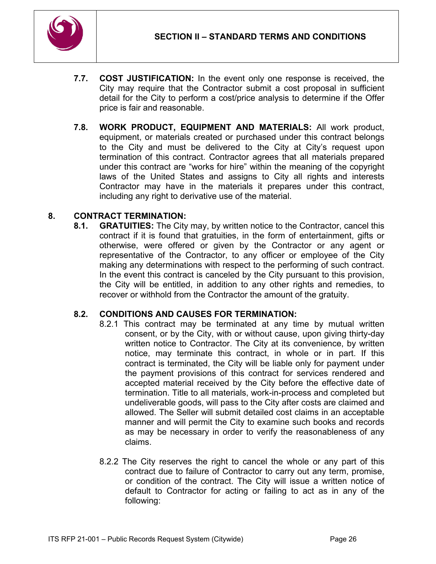

- **7.7. COST JUSTIFICATION:** In the event only one response is received, the City may require that the Contractor submit a cost proposal in sufficient detail for the City to perform a cost/price analysis to determine if the Offer price is fair and reasonable.
- **7.8. WORK PRODUCT, EQUIPMENT AND MATERIALS:** All work product, equipment, or materials created or purchased under this contract belongs to the City and must be delivered to the City at City's request upon termination of this contract. Contractor agrees that all materials prepared under this contract are "works for hire" within the meaning of the copyright laws of the United States and assigns to City all rights and interests Contractor may have in the materials it prepares under this contract, including any right to derivative use of the material.

## **8. CONTRACT TERMINATION:**

**8.1. GRATUITIES:** The City may, by written notice to the Contractor, cancel this contract if it is found that gratuities, in the form of entertainment, gifts or otherwise, were offered or given by the Contractor or any agent or representative of the Contractor, to any officer or employee of the City making any determinations with respect to the performing of such contract. In the event this contract is canceled by the City pursuant to this provision, the City will be entitled, in addition to any other rights and remedies, to recover or withhold from the Contractor the amount of the gratuity.

#### **8.2. CONDITIONS AND CAUSES FOR TERMINATION:**

- 8.2.1 This contract may be terminated at any time by mutual written consent, or by the City, with or without cause, upon giving thirty-day written notice to Contractor. The City at its convenience, by written notice, may terminate this contract, in whole or in part. If this contract is terminated, the City will be liable only for payment under the payment provisions of this contract for services rendered and accepted material received by the City before the effective date of termination. Title to all materials, work-in-process and completed but undeliverable goods, will pass to the City after costs are claimed and allowed. The Seller will submit detailed cost claims in an acceptable manner and will permit the City to examine such books and records as may be necessary in order to verify the reasonableness of any claims.
- 8.2.2 The City reserves the right to cancel the whole or any part of this contract due to failure of Contractor to carry out any term, promise, or condition of the contract. The City will issue a written notice of default to Contractor for acting or failing to act as in any of the following: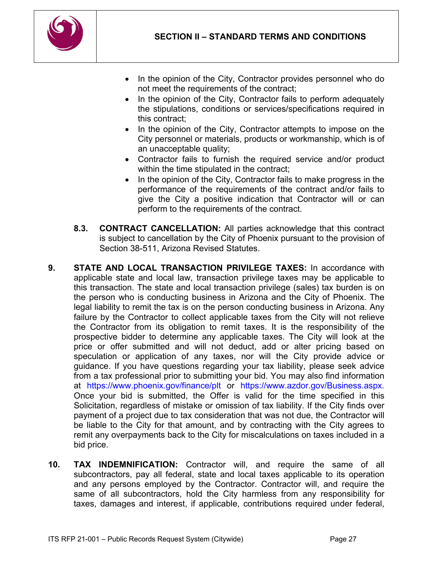

- In the opinion of the City, Contractor provides personnel who do not meet the requirements of the contract;
- In the opinion of the City, Contractor fails to perform adequately the stipulations, conditions or services/specifications required in this contract;
- In the opinion of the City, Contractor attempts to impose on the City personnel or materials, products or workmanship, which is of an unacceptable quality;
- Contractor fails to furnish the required service and/or product within the time stipulated in the contract;
- In the opinion of the City, Contractor fails to make progress in the performance of the requirements of the contract and/or fails to give the City a positive indication that Contractor will or can perform to the requirements of the contract.
- **8.3. CONTRACT CANCELLATION:** All parties acknowledge that this contract is subject to cancellation by the City of Phoenix pursuant to the provision of Section 38-511, Arizona Revised Statutes.
- **9. STATE AND LOCAL TRANSACTION PRIVILEGE TAXES:** In accordance with applicable state and local law, transaction privilege taxes may be applicable to this transaction. The state and local transaction privilege (sales) tax burden is on the person who is conducting business in Arizona and the City of Phoenix. The legal liability to remit the tax is on the person conducting business in Arizona. Any failure by the Contractor to collect applicable taxes from the City will not relieve the Contractor from its obligation to remit taxes. It is the responsibility of the prospective bidder to determine any applicable taxes. The City will look at the price or offer submitted and will not deduct, add or alter pricing based on speculation or application of any taxes, nor will the City provide advice or guidance. If you have questions regarding your tax liability, please seek advice from a tax professional prior to submitting your bid. You may also find information at https://www.phoenix.gov/finance/plt or https://www.azdor.gov/Business.aspx. Once your bid is submitted, the Offer is valid for the time specified in this Solicitation, regardless of mistake or omission of tax liability. If the City finds over payment of a project due to tax consideration that was not due, the Contractor will be liable to the City for that amount, and by contracting with the City agrees to remit any overpayments back to the City for miscalculations on taxes included in a bid price.
- **10. TAX INDEMNIFICATION:** Contractor will, and require the same of all subcontractors, pay all federal, state and local taxes applicable to its operation and any persons employed by the Contractor. Contractor will, and require the same of all subcontractors, hold the City harmless from any responsibility for taxes, damages and interest, if applicable, contributions required under federal,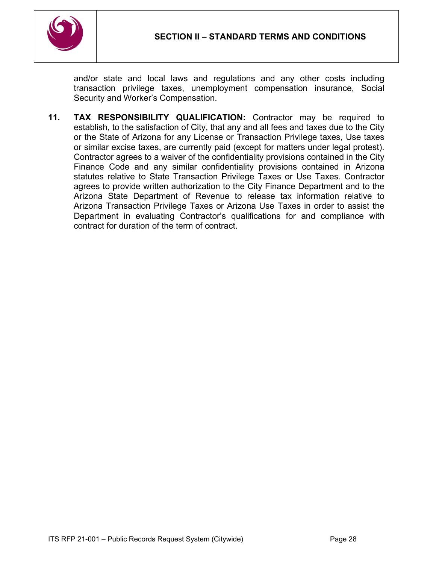

and/or state and local laws and regulations and any other costs including transaction privilege taxes, unemployment compensation insurance, Social Security and Worker's Compensation.

**11. TAX RESPONSIBILITY QUALIFICATION:** Contractor may be required to establish, to the satisfaction of City, that any and all fees and taxes due to the City or the State of Arizona for any License or Transaction Privilege taxes, Use taxes or similar excise taxes, are currently paid (except for matters under legal protest). Contractor agrees to a waiver of the confidentiality provisions contained in the City Finance Code and any similar confidentiality provisions contained in Arizona statutes relative to State Transaction Privilege Taxes or Use Taxes. Contractor agrees to provide written authorization to the City Finance Department and to the Arizona State Department of Revenue to release tax information relative to Arizona Transaction Privilege Taxes or Arizona Use Taxes in order to assist the Department in evaluating Contractor's qualifications for and compliance with contract for duration of the term of contract.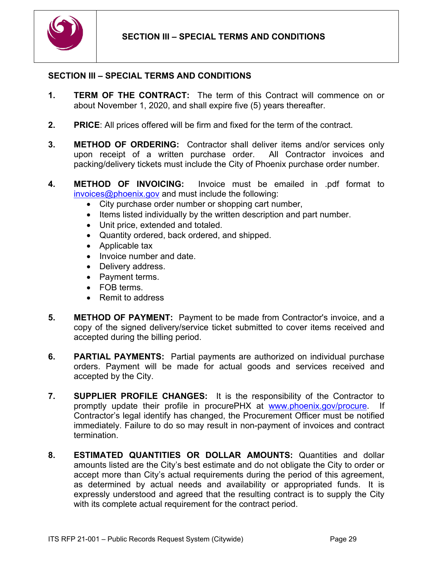

### <span id="page-28-0"></span>**SECTION III – SPECIAL TERMS AND CONDITIONS**

- **1. TERM OF THE CONTRACT:** The term of this Contract will commence on or about November 1, 2020, and shall expire five (5) years thereafter.
- **2. PRICE**: All prices offered will be firm and fixed for the term of the contract.
- **3. METHOD OF ORDERING:** Contractor shall deliver items and/or services only upon receipt of a written purchase order. All Contractor invoices and packing/delivery tickets must include the City of Phoenix purchase order number.
- **4. METHOD OF INVOICING:** Invoice must be emailed in .pdf format to [invoices@phoenix.gov](mailto:invoices@phoenix.gov) and must include the following:
	- City purchase order number or shopping cart number,
	- Items listed individually by the written description and part number.
	- Unit price, extended and totaled.
	- Quantity ordered, back ordered, and shipped.
	- Applicable tax
	- Invoice number and date.
	- Delivery address.
	- Payment terms.
	- FOB terms.
	- Remit to address
- **5. METHOD OF PAYMENT:** Payment to be made from Contractor's invoice, and a copy of the signed delivery/service ticket submitted to cover items received and accepted during the billing period.
- **6. PARTIAL PAYMENTS:** Partial payments are authorized on individual purchase orders. Payment will be made for actual goods and services received and accepted by the City.
- **7. SUPPLIER PROFILE CHANGES:** It is the responsibility of the Contractor to promptly update their profile in procurePHX at [www.phoenix.gov/procure.](http://www.phoenix.gov/procure) Contractor's legal identify has changed, the Procurement Officer must be notified immediately. Failure to do so may result in non-payment of invoices and contract termination.
- **8. ESTIMATED QUANTITIES OR DOLLAR AMOUNTS:** Quantities and dollar amounts listed are the City's best estimate and do not obligate the City to order or accept more than City's actual requirements during the period of this agreement, as determined by actual needs and availability or appropriated funds. It is expressly understood and agreed that the resulting contract is to supply the City with its complete actual requirement for the contract period.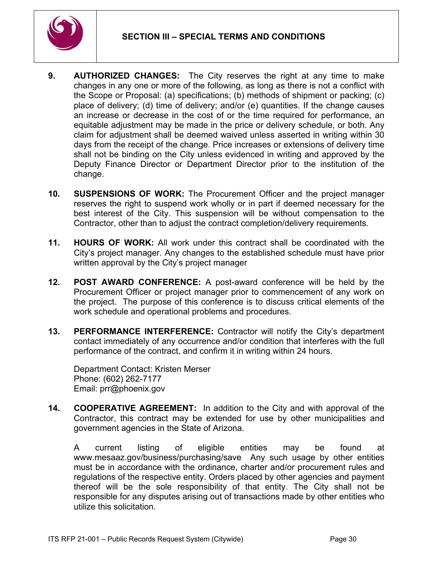

- **9. AUTHORIZED CHANGES:** The City reserves the right at any time to make changes in any one or more of the following, as long as there is not a conflict with the Scope or Proposal: (a) specifications; (b) methods of shipment or packing; (c) place of delivery; (d) time of delivery; and/or (e) quantities. If the change causes an increase or decrease in the cost of or the time required for performance, an equitable adjustment may be made in the price or delivery schedule, or both. Any claim for adjustment shall be deemed waived unless asserted in writing within 30 days from the receipt of the change. Price increases or extensions of delivery time shall not be binding on the City unless evidenced in writing and approved by the Deputy Finance Director or Department Director prior to the institution of the change.
- **10. SUSPENSIONS OF WORK:** The Procurement Officer and the project manager reserves the right to suspend work wholly or in part if deemed necessary for the best interest of the City. This suspension will be without compensation to the Contractor, other than to adjust the contract completion/delivery requirements.
- **11. HOURS OF WORK:** All work under this contract shall be coordinated with the City's project manager. Any changes to the established schedule must have prior written approval by the City's project manager
- **12. POST AWARD CONFERENCE:** A post-award conference will be held by the Procurement Officer or project manager prior to commencement of any work on the project. The purpose of this conference is to discuss critical elements of the work schedule and operational problems and procedures.
- **13. PERFORMANCE INTERFERENCE:** Contractor will notify the City's department contact immediately of any occurrence and/or condition that interferes with the full performance of the contract, and confirm it in writing within 24 hours.

Department Contact: Kristen Merser Phone: (602) 262-7177 Email: prr@phoenix.gov

**14. COOPERATIVE AGREEMENT:** In addition to the City and with approval of the Contractor, this contract may be extended for use by other municipalities and government agencies in the State of Arizona.

A current listing of eligible entities may be found at www.mesaaz.gov/business/purchasing/save Any such usage by other entities must be in accordance with the ordinance, charter and/or procurement rules and regulations of the respective entity. Orders placed by other agencies and payment thereof will be the sole responsibility of that entity. The City shall not be responsible for any disputes arising out of transactions made by other entities who utilize this solicitation.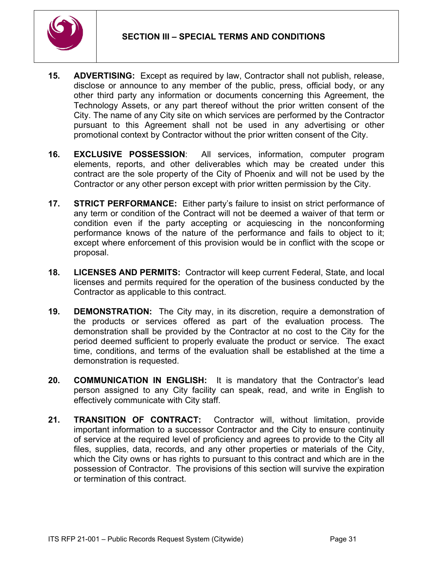

- **15. ADVERTISING:** Except as required by law, Contractor shall not publish, release, disclose or announce to any member of the public, press, official body, or any other third party any information or documents concerning this Agreement, the Technology Assets, or any part thereof without the prior written consent of the City. The name of any City site on which services are performed by the Contractor pursuant to this Agreement shall not be used in any advertising or other promotional context by Contractor without the prior written consent of the City.
- **16. EXCLUSIVE POSSESSION**: All services, information, computer program elements, reports, and other deliverables which may be created under this contract are the sole property of the City of Phoenix and will not be used by the Contractor or any other person except with prior written permission by the City.
- **17. STRICT PERFORMANCE:** Either party's failure to insist on strict performance of any term or condition of the Contract will not be deemed a waiver of that term or condition even if the party accepting or acquiescing in the nonconforming performance knows of the nature of the performance and fails to object to it; except where enforcement of this provision would be in conflict with the scope or proposal.
- **18. LICENSES AND PERMITS:** Contractor will keep current Federal, State, and local licenses and permits required for the operation of the business conducted by the Contractor as applicable to this contract.
- **19. DEMONSTRATION:** The City may, in its discretion, require a demonstration of the products or services offered as part of the evaluation process. The demonstration shall be provided by the Contractor at no cost to the City for the period deemed sufficient to properly evaluate the product or service. The exact time, conditions, and terms of the evaluation shall be established at the time a demonstration is requested.
- **20. COMMUNICATION IN ENGLISH:** It is mandatory that the Contractor's lead person assigned to any City facility can speak, read, and write in English to effectively communicate with City staff.
- **21. TRANSITION OF CONTRACT:** Contractor will, without limitation, provide important information to a successor Contractor and the City to ensure continuity of service at the required level of proficiency and agrees to provide to the City all files, supplies, data, records, and any other properties or materials of the City, which the City owns or has rights to pursuant to this contract and which are in the possession of Contractor. The provisions of this section will survive the expiration or termination of this contract.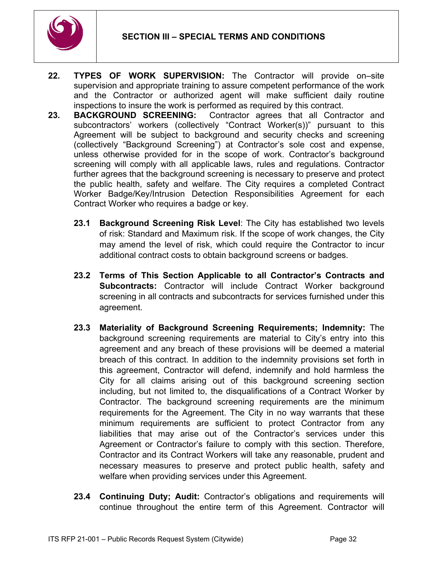

- **22. TYPES OF WORK SUPERVISION:** The Contractor will provide on–site supervision and appropriate training to assure competent performance of the work and the Contractor or authorized agent will make sufficient daily routine inspections to insure the work is performed as required by this contract.
- **23. BACKGROUND SCREENING:** Contractor agrees that all Contractor and subcontractors' workers (collectively "Contract Worker(s))" pursuant to this Agreement will be subject to background and security checks and screening (collectively "Background Screening") at Contractor's sole cost and expense, unless otherwise provided for in the scope of work. Contractor's background screening will comply with all applicable laws, rules and regulations. Contractor further agrees that the background screening is necessary to preserve and protect the public health, safety and welfare. The City requires a completed Contract Worker Badge/Key/Intrusion Detection Responsibilities Agreement for each Contract Worker who requires a badge or key.
	- **23.1 Background Screening Risk Level**: The City has established two levels of risk: Standard and Maximum risk. If the scope of work changes, the City may amend the level of risk, which could require the Contractor to incur additional contract costs to obtain background screens or badges.
	- **23.2 Terms of This Section Applicable to all Contractor's Contracts and Subcontracts:** Contractor will include Contract Worker background screening in all contracts and subcontracts for services furnished under this agreement.
	- **23.3 Materiality of Background Screening Requirements; Indemnity:** The background screening requirements are material to City's entry into this agreement and any breach of these provisions will be deemed a material breach of this contract. In addition to the indemnity provisions set forth in this agreement, Contractor will defend, indemnify and hold harmless the City for all claims arising out of this background screening section including, but not limited to, the disqualifications of a Contract Worker by Contractor. The background screening requirements are the minimum requirements for the Agreement. The City in no way warrants that these minimum requirements are sufficient to protect Contractor from any liabilities that may arise out of the Contractor's services under this Agreement or Contractor's failure to comply with this section. Therefore, Contractor and its Contract Workers will take any reasonable, prudent and necessary measures to preserve and protect public health, safety and welfare when providing services under this Agreement.
	- **23.4 Continuing Duty; Audit:** Contractor's obligations and requirements will continue throughout the entire term of this Agreement. Contractor will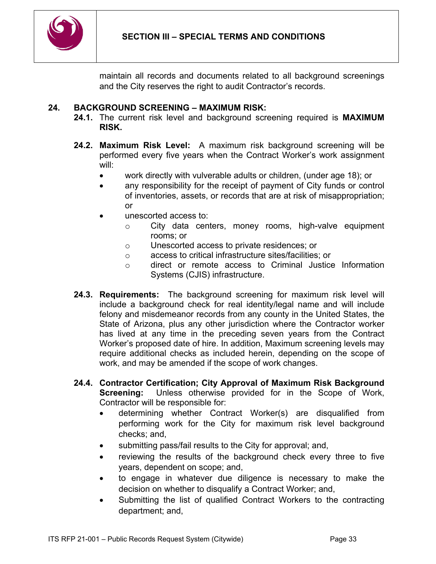

maintain all records and documents related to all background screenings and the City reserves the right to audit Contractor's records.

### **24. BACKGROUND SCREENING – MAXIMUM RISK:**

- **24.1.** The current risk level and background screening required is **MAXIMUM RISK.**
- **24.2. Maximum Risk Level:** A maximum risk background screening will be performed every five years when the Contract Worker's work assignment will:
	- work directly with vulverable adults or children, (under age 18); or
	- any responsibility for the receipt of payment of City funds or control of inventories, assets, or records that are at risk of misappropriation; or
	- unescorted access to:
		- o City data centers, money rooms, high-valve equipment rooms; or
		- o Unescorted access to private residences; or
		- o access to critical infrastructure sites/facilities; or
		- o direct or remote access to Criminal Justice Information Systems (CJIS) infrastructure.
- **24.3. Requirements:** The background screening for maximum risk level will include a background check for real identity/legal name and will include felony and misdemeanor records from any county in the United States, the State of Arizona, plus any other jurisdiction where the Contractor worker has lived at any time in the preceding seven years from the Contract Worker's proposed date of hire. In addition, Maximum screening levels may require additional checks as included herein, depending on the scope of work, and may be amended if the scope of work changes.
- **24.4. Contractor Certification; City Approval of Maximum Risk Background Screening:** Unless otherwise provided for in the Scope of Work, Contractor will be responsible for:
	- determining whether Contract Worker(s) are disqualified from performing work for the City for maximum risk level background checks; and,
	- submitting pass/fail results to the City for approval; and,
	- reviewing the results of the background check every three to five years, dependent on scope; and,
	- to engage in whatever due diligence is necessary to make the decision on whether to disqualify a Contract Worker; and,
	- Submitting the list of qualified Contract Workers to the contracting department; and,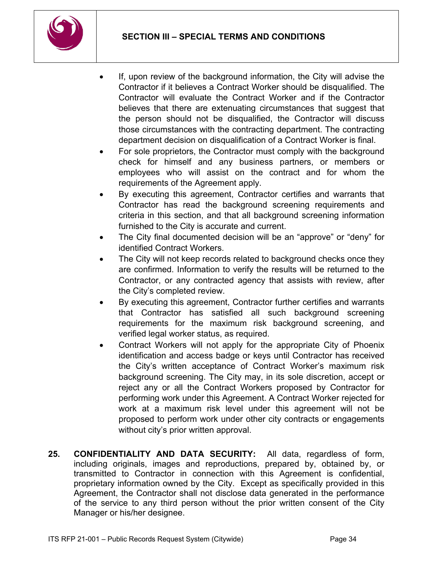

- If, upon review of the background information, the City will advise the Contractor if it believes a Contract Worker should be disqualified. The Contractor will evaluate the Contract Worker and if the Contractor believes that there are extenuating circumstances that suggest that the person should not be disqualified, the Contractor will discuss those circumstances with the contracting department. The contracting department decision on disqualification of a Contract Worker is final.
- For sole proprietors, the Contractor must comply with the background check for himself and any business partners, or members or employees who will assist on the contract and for whom the requirements of the Agreement apply.
- By executing this agreement, Contractor certifies and warrants that Contractor has read the background screening requirements and criteria in this section, and that all background screening information furnished to the City is accurate and current.
- The City final documented decision will be an "approve" or "deny" for identified Contract Workers.
- The City will not keep records related to background checks once they are confirmed. Information to verify the results will be returned to the Contractor, or any contracted agency that assists with review, after the City's completed review.
- By executing this agreement, Contractor further certifies and warrants that Contractor has satisfied all such background screening requirements for the maximum risk background screening, and verified legal worker status, as required.
- Contract Workers will not apply for the appropriate City of Phoenix identification and access badge or keys until Contractor has received the City's written acceptance of Contract Worker's maximum risk background screening. The City may, in its sole discretion, accept or reject any or all the Contract Workers proposed by Contractor for performing work under this Agreement. A Contract Worker rejected for work at a maximum risk level under this agreement will not be proposed to perform work under other city contracts or engagements without city's prior written approval.
- **25. CONFIDENTIALITY AND DATA SECURITY:** All data, regardless of form, including originals, images and reproductions, prepared by, obtained by, or transmitted to Contractor in connection with this Agreement is confidential, proprietary information owned by the City. Except as specifically provided in this Agreement, the Contractor shall not disclose data generated in the performance of the service to any third person without the prior written consent of the City Manager or his/her designee.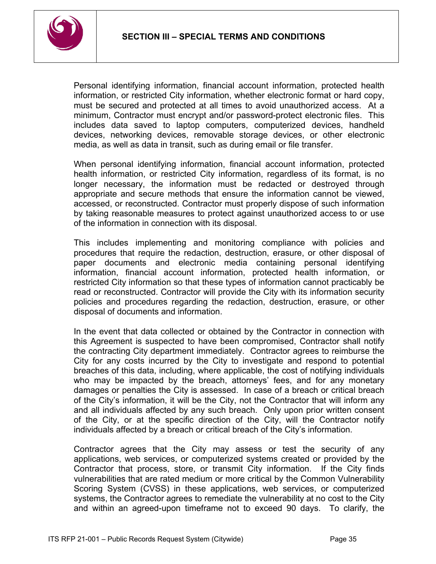

Personal identifying information, financial account information, protected health information, or restricted City information, whether electronic format or hard copy, must be secured and protected at all times to avoid unauthorized access. At a minimum, Contractor must encrypt and/or password-protect electronic files. This includes data saved to laptop computers, computerized devices, handheld devices, networking devices, removable storage devices, or other electronic media, as well as data in transit, such as during email or file transfer.

When personal identifying information, financial account information, protected health information, or restricted City information, regardless of its format, is no longer necessary, the information must be redacted or destroyed through appropriate and secure methods that ensure the information cannot be viewed, accessed, or reconstructed. Contractor must properly dispose of such information by taking reasonable measures to protect against unauthorized access to or use of the information in connection with its disposal.

This includes implementing and monitoring compliance with policies and procedures that require the redaction, destruction, erasure, or other disposal of paper documents and electronic media containing personal identifying information, financial account information, protected health information, or restricted City information so that these types of information cannot practicably be read or reconstructed. Contractor will provide the City with its information security policies and procedures regarding the redaction, destruction, erasure, or other disposal of documents and information.

In the event that data collected or obtained by the Contractor in connection with this Agreement is suspected to have been compromised, Contractor shall notify the contracting City department immediately. Contractor agrees to reimburse the City for any costs incurred by the City to investigate and respond to potential breaches of this data, including, where applicable, the cost of notifying individuals who may be impacted by the breach, attorneys' fees, and for any monetary damages or penalties the City is assessed. In case of a breach or critical breach of the City's information, it will be the City, not the Contractor that will inform any and all individuals affected by any such breach. Only upon prior written consent of the City, or at the specific direction of the City, will the Contractor notify individuals affected by a breach or critical breach of the City's information.

Contractor agrees that the City may assess or test the security of any applications, web services, or computerized systems created or provided by the Contractor that process, store, or transmit City information. If the City finds vulnerabilities that are rated medium or more critical by the Common Vulnerability Scoring System (CVSS) in these applications, web services, or computerized systems, the Contractor agrees to remediate the vulnerability at no cost to the City and within an agreed-upon timeframe not to exceed 90 days. To clarify, the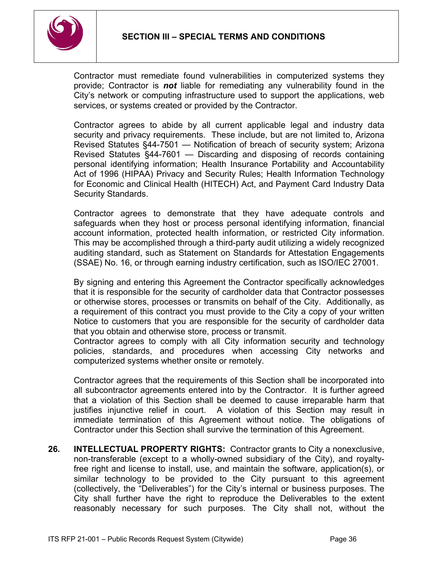

Contractor must remediate found vulnerabilities in computerized systems they provide; Contractor is *not* liable for remediating any vulnerability found in the City's network or computing infrastructure used to support the applications, web services, or systems created or provided by the Contractor.

Contractor agrees to abide by all current applicable legal and industry data security and privacy requirements. These include, but are not limited to, Arizona Revised Statutes §44-7501 — Notification of breach of security system; Arizona Revised Statutes §44-7601 — Discarding and disposing of records containing personal identifying information; Health Insurance Portability and Accountability Act of 1996 (HIPAA) Privacy and Security Rules; Health Information Technology for Economic and Clinical Health (HITECH) Act, and Payment Card Industry Data Security Standards.

Contractor agrees to demonstrate that they have adequate controls and safeguards when they host or process personal identifying information, financial account information, protected health information, or restricted City information. This may be accomplished through a third-party audit utilizing a widely recognized auditing standard, such as Statement on Standards for Attestation Engagements (SSAE) No. 16, or through earning industry certification, such as ISO/IEC 27001.

By signing and entering this Agreement the Contractor specifically acknowledges that it is responsible for the security of cardholder data that Contractor possesses or otherwise stores, processes or transmits on behalf of the City. Additionally, as a requirement of this contract you must provide to the City a copy of your written Notice to customers that you are responsible for the security of cardholder data that you obtain and otherwise store, process or transmit.

Contractor agrees to comply with all City information security and technology policies, standards, and procedures when accessing City networks and computerized systems whether onsite or remotely.

Contractor agrees that the requirements of this Section shall be incorporated into all subcontractor agreements entered into by the Contractor. It is further agreed that a violation of this Section shall be deemed to cause irreparable harm that justifies injunctive relief in court. A violation of this Section may result in immediate termination of this Agreement without notice. The obligations of Contractor under this Section shall survive the termination of this Agreement.

**26. INTELLECTUAL PROPERTY RIGHTS:** Contractor grants to City a nonexclusive, non-transferable (except to a wholly-owned subsidiary of the City), and royaltyfree right and license to install, use, and maintain the software, application(s), or similar technology to be provided to the City pursuant to this agreement (collectively, the "Deliverables") for the City's internal or business purposes. The City shall further have the right to reproduce the Deliverables to the extent reasonably necessary for such purposes. The City shall not, without the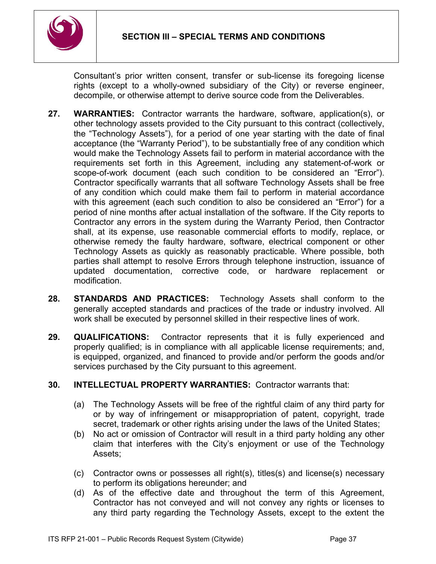

Consultant's prior written consent, transfer or sub-license its foregoing license rights (except to a wholly-owned subsidiary of the City) or reverse engineer, decompile, or otherwise attempt to derive source code from the Deliverables.

- **27. WARRANTIES:** Contractor warrants the hardware, software, application(s), or other technology assets provided to the City pursuant to this contract (collectively, the "Technology Assets"), for a period of one year starting with the date of final acceptance (the "Warranty Period"), to be substantially free of any condition which would make the Technology Assets fail to perform in material accordance with the requirements set forth in this Agreement, including any statement-of-work or scope-of-work document (each such condition to be considered an "Error"). Contractor specifically warrants that all software Technology Assets shall be free of any condition which could make them fail to perform in material accordance with this agreement (each such condition to also be considered an "Error") for a period of nine months after actual installation of the software. If the City reports to Contractor any errors in the system during the Warranty Period, then Contractor shall, at its expense, use reasonable commercial efforts to modify, replace, or otherwise remedy the faulty hardware, software, electrical component or other Technology Assets as quickly as reasonably practicable. Where possible, both parties shall attempt to resolve Errors through telephone instruction, issuance of updated documentation, corrective code, or hardware replacement or modification.
- **28. STANDARDS AND PRACTICES:** Technology Assets shall conform to the generally accepted standards and practices of the trade or industry involved. All work shall be executed by personnel skilled in their respective lines of work.
- **29. QUALIFICATIONS:** Contractor represents that it is fully experienced and properly qualified; is in compliance with all applicable license requirements; and, is equipped, organized, and financed to provide and/or perform the goods and/or services purchased by the City pursuant to this agreement.

## **30. INTELLECTUAL PROPERTY WARRANTIES:** Contractor warrants that:

- (a) The Technology Assets will be free of the rightful claim of any third party for or by way of infringement or misappropriation of patent, copyright, trade secret, trademark or other rights arising under the laws of the United States;
- (b) No act or omission of Contractor will result in a third party holding any other claim that interferes with the City's enjoyment or use of the Technology Assets;
- (c) Contractor owns or possesses all right(s), titles(s) and license(s) necessary to perform its obligations hereunder; and
- (d) As of the effective date and throughout the term of this Agreement, Contractor has not conveyed and will not convey any rights or licenses to any third party regarding the Technology Assets, except to the extent the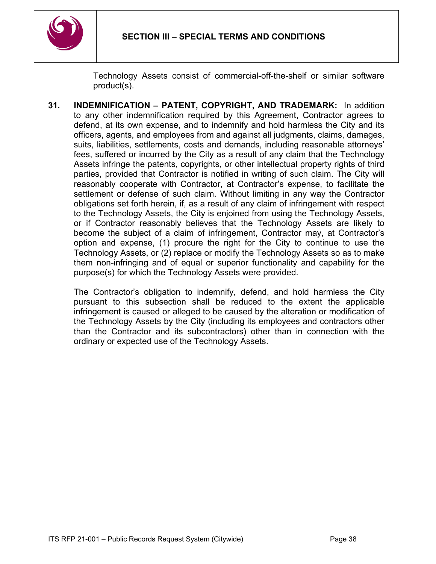

Technology Assets consist of commercial-off-the-shelf or similar software product(s).

**31. INDEMNIFICATION – PATENT, COPYRIGHT, AND TRADEMARK:** In addition to any other indemnification required by this Agreement, Contractor agrees to defend, at its own expense, and to indemnify and hold harmless the City and its officers, agents, and employees from and against all judgments, claims, damages, suits, liabilities, settlements, costs and demands, including reasonable attorneys' fees, suffered or incurred by the City as a result of any claim that the Technology Assets infringe the patents, copyrights, or other intellectual property rights of third parties, provided that Contractor is notified in writing of such claim. The City will reasonably cooperate with Contractor, at Contractor's expense, to facilitate the settlement or defense of such claim. Without limiting in any way the Contractor obligations set forth herein, if, as a result of any claim of infringement with respect to the Technology Assets, the City is enjoined from using the Technology Assets, or if Contractor reasonably believes that the Technology Assets are likely to become the subject of a claim of infringement, Contractor may, at Contractor's option and expense, (1) procure the right for the City to continue to use the Technology Assets, or (2) replace or modify the Technology Assets so as to make them non-infringing and of equal or superior functionality and capability for the purpose(s) for which the Technology Assets were provided.

The Contractor's obligation to indemnify, defend, and hold harmless the City pursuant to this subsection shall be reduced to the extent the applicable infringement is caused or alleged to be caused by the alteration or modification of the Technology Assets by the City (including its employees and contractors other than the Contractor and its subcontractors) other than in connection with the ordinary or expected use of the Technology Assets.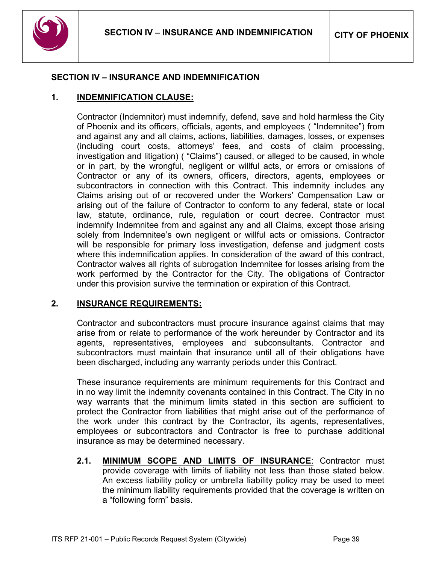

### <span id="page-38-0"></span>**SECTION IV – INSURANCE AND INDEMNIFICATION**

### **1. INDEMNIFICATION CLAUSE:**

Contractor (Indemnitor) must indemnify, defend, save and hold harmless the City of Phoenix and its officers, officials, agents, and employees ( "Indemnitee") from and against any and all claims, actions, liabilities, damages, losses, or expenses (including court costs, attorneys' fees, and costs of claim processing, investigation and litigation) ( "Claims") caused, or alleged to be caused, in whole or in part, by the wrongful, negligent or willful acts, or errors or omissions of Contractor or any of its owners, officers, directors, agents, employees or subcontractors in connection with this Contract. This indemnity includes any Claims arising out of or recovered under the Workers' Compensation Law or arising out of the failure of Contractor to conform to any federal, state or local law, statute, ordinance, rule, regulation or court decree. Contractor must indemnify Indemnitee from and against any and all Claims, except those arising solely from Indemnitee's own negligent or willful acts or omissions. Contractor will be responsible for primary loss investigation, defense and judgment costs where this indemnification applies. In consideration of the award of this contract, Contractor waives all rights of subrogation Indemnitee for losses arising from the work performed by the Contractor for the City. The obligations of Contractor under this provision survive the termination or expiration of this Contract.

#### **2. INSURANCE REQUIREMENTS:**

Contractor and subcontractors must procure insurance against claims that may arise from or relate to performance of the work hereunder by Contractor and its agents, representatives, employees and subconsultants. Contractor and subcontractors must maintain that insurance until all of their obligations have been discharged, including any warranty periods under this Contract.

These insurance requirements are minimum requirements for this Contract and in no way limit the indemnity covenants contained in this Contract. The City in no way warrants that the minimum limits stated in this section are sufficient to protect the Contractor from liabilities that might arise out of the performance of the work under this contract by the Contractor, its agents, representatives, employees or subcontractors and Contractor is free to purchase additional insurance as may be determined necessary.

**2.1. MINIMUM SCOPE AND LIMITS OF INSURANCE**: Contractor must provide coverage with limits of liability not less than those stated below. An excess liability policy or umbrella liability policy may be used to meet the minimum liability requirements provided that the coverage is written on a "following form" basis.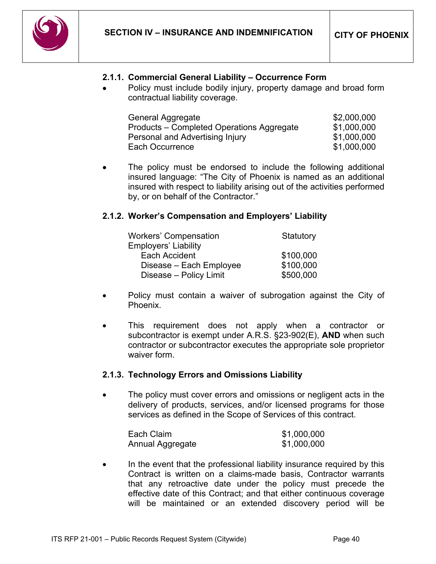

### **2.1.1. Commercial General Liability – Occurrence Form**

• Policy must include bodily injury, property damage and broad form contractual liability coverage.

| General Aggregate                         | \$2,000,000 |
|-------------------------------------------|-------------|
| Products – Completed Operations Aggregate | \$1,000,000 |
| Personal and Advertising Injury           | \$1,000,000 |
| Each Occurrence                           | \$1,000,000 |

The policy must be endorsed to include the following additional insured language: "The City of Phoenix is named as an additional insured with respect to liability arising out of the activities performed by, or on behalf of the Contractor."

### **2.1.2. Worker's Compensation and Employers' Liability**

| <b>Workers' Compensation</b> | Statutory |
|------------------------------|-----------|
| <b>Employers' Liability</b>  |           |
| Each Accident                | \$100,000 |
| Disease - Each Employee      | \$100,000 |
| Disease - Policy Limit       | \$500,000 |

- Policy must contain a waiver of subrogation against the City of Phoenix.
- This requirement does not apply when a contractor or subcontractor is exempt under A.R.S. §23-902(E), **AND** when such contractor or subcontractor executes the appropriate sole proprietor waiver form.

#### **2.1.3. Technology Errors and Omissions Liability**

The policy must cover errors and omissions or negligent acts in the delivery of products, services, and/or licensed programs for those services as defined in the Scope of Services of this contract.

| Each Claim       | \$1,000,000 |
|------------------|-------------|
| Annual Aggregate | \$1,000,000 |

• In the event that the professional liability insurance required by this Contract is written on a claims-made basis, Contractor warrants that any retroactive date under the policy must precede the effective date of this Contract; and that either continuous coverage will be maintained or an extended discovery period will be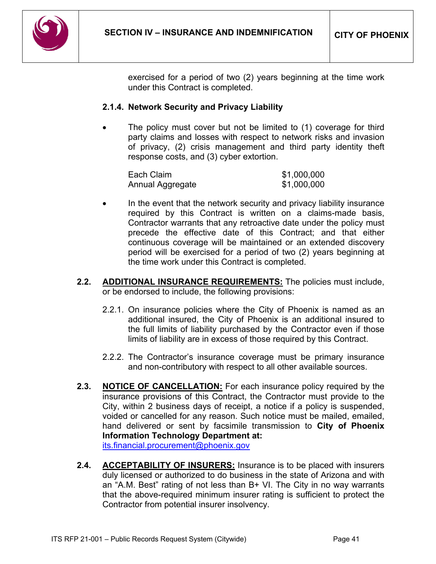

exercised for a period of two (2) years beginning at the time work under this Contract is completed.

### **2.1.4. Network Security and Privacy Liability**

The policy must cover but not be limited to (1) coverage for third party claims and losses with respect to network risks and invasion of privacy, (2) crisis management and third party identity theft response costs, and (3) cyber extortion.

| Each Claim       | \$1,000,000 |
|------------------|-------------|
| Annual Aggregate | \$1,000,000 |

- In the event that the network security and privacy liability insurance required by this Contract is written on a claims-made basis, Contractor warrants that any retroactive date under the policy must precede the effective date of this Contract; and that either continuous coverage will be maintained or an extended discovery period will be exercised for a period of two (2) years beginning at the time work under this Contract is completed.
- **2.2. ADDITIONAL INSURANCE REQUIREMENTS:** The policies must include, or be endorsed to include, the following provisions:
	- 2.2.1. On insurance policies where the City of Phoenix is named as an additional insured, the City of Phoenix is an additional insured to the full limits of liability purchased by the Contractor even if those limits of liability are in excess of those required by this Contract.
	- 2.2.2. The Contractor's insurance coverage must be primary insurance and non-contributory with respect to all other available sources.
- **2.3. NOTICE OF CANCELLATION:** For each insurance policy required by the insurance provisions of this Contract, the Contractor must provide to the City, within 2 business days of receipt, a notice if a policy is suspended, voided or cancelled for any reason. Such notice must be mailed, emailed, hand delivered or sent by facsimile transmission to **City of Phoenix Information Technology Department at:**

[its.financial.procurement@phoenix.gov](mailto:its.financial.procurement@phoenix.gov)

**2.4. ACCEPTABILITY OF INSURERS:** Insurance is to be placed with insurers duly licensed or authorized to do business in the state of Arizona and with an "A.M. Best" rating of not less than B+ VI. The City in no way warrants that the above-required minimum insurer rating is sufficient to protect the Contractor from potential insurer insolvency.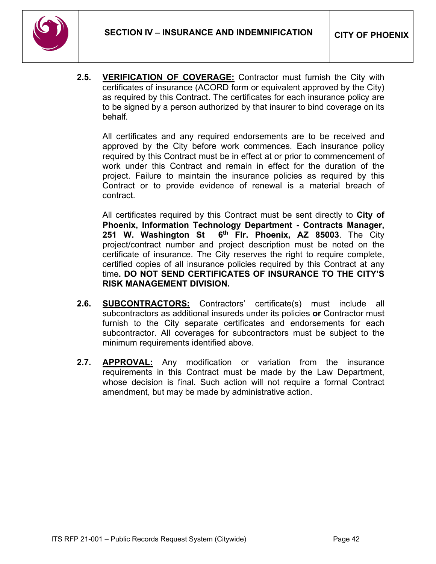

**2.5. VERIFICATION OF COVERAGE:** Contractor must furnish the City with certificates of insurance (ACORD form or equivalent approved by the City) as required by this Contract. The certificates for each insurance policy are to be signed by a person authorized by that insurer to bind coverage on its behalf*.*

All certificates and any required endorsements are to be received and approved by the City before work commences. Each insurance policy required by this Contract must be in effect at or prior to commencement of work under this Contract and remain in effect for the duration of the project. Failure to maintain the insurance policies as required by this Contract or to provide evidence of renewal is a material breach of contract.

All certificates required by this Contract must be sent directly to **City of Phoenix, Information Technology Department - Contracts Manager, 251 W. Washington St 6th Flr. Phoenix, AZ 85003**. The City project/contract number and project description must be noted on the certificate of insurance. The City reserves the right to require complete, certified copies of all insurance policies required by this Contract at any time**. DO NOT SEND CERTIFICATES OF INSURANCE TO THE CITY'S RISK MANAGEMENT DIVISION.**

- **2.6. SUBCONTRACTORS:** Contractors' certificate(s) must include all subcontractors as additional insureds under its policies **or** Contractor must furnish to the City separate certificates and endorsements for each subcontractor. All coverages for subcontractors must be subject to the minimum requirements identified above.
- **2.7. APPROVAL:** Any modification or variation from the insurance requirements in this Contract must be made by the Law Department, whose decision is final. Such action will not require a formal Contract amendment, but may be made by administrative action.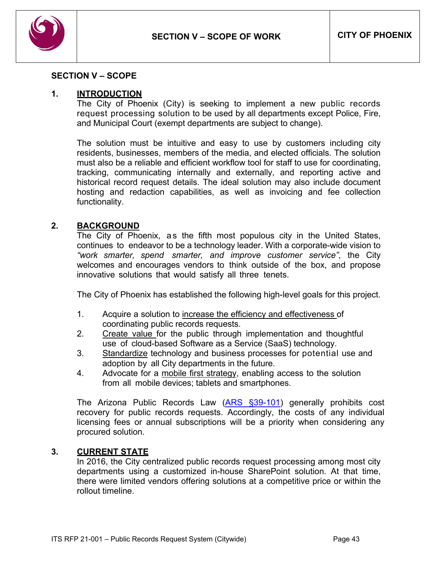

#### <span id="page-42-0"></span>**SECTION V – SCOPE**

#### **1. INTRODUCTION**

The City of Phoenix (City) is seeking to implement a new public records request processing solution to be used by all departments except Police, Fire, and Municipal Court (exempt departments are subject to change).

The solution must be intuitive and easy to use by customers including city residents, businesses, members of the media, and elected officials. The solution must also be a reliable and efficient workflow tool for staff to use for coordinating, tracking, communicating internally and externally, and reporting active and historical record request details. The ideal solution may also include document hosting and redaction capabilities, as well as invoicing and fee collection functionality.

#### **2. BACKGROUND**

The City of Phoenix, as the fifth most populous city in the United States, continues to endeavor to be a technology leader. With a corporate-wide vision to *"work smarter, spend smarter, and improve customer service"*, the City welcomes and encourages vendors to think outside of the box, and propose innovative solutions that would satisfy all three tenets.

The City of Phoenix has established the following high-level goals for this project.

- 1. Acquire a solution to increase the efficiency and effectiveness of coordinating public records requests.
- 2. Create value for the public through implementation and thoughtful use of cloud-based Software as a Service (SaaS) technology.
- 3. Standardize technology and business processes for potential use and adoption by all City departments in the future.
- 4. Advocate for a mobile first strategy, enabling access to the solution from all mobile devices; tablets and smartphones.

The Arizona Public Records Law [\(ARS §39-101\)](https://www.azleg.gov/arsDetail/?title=39) generally prohibits cost recovery for public records requests. Accordingly, the costs of any individual licensing fees or annual subscriptions will be a priority when considering any procured solution.

#### **3. CURRENT STATE**

In 2016, the City centralized public records request processing among most city departments using a customized in-house SharePoint solution. At that time, there were limited vendors offering solutions at a competitive price or within the rollout timeline.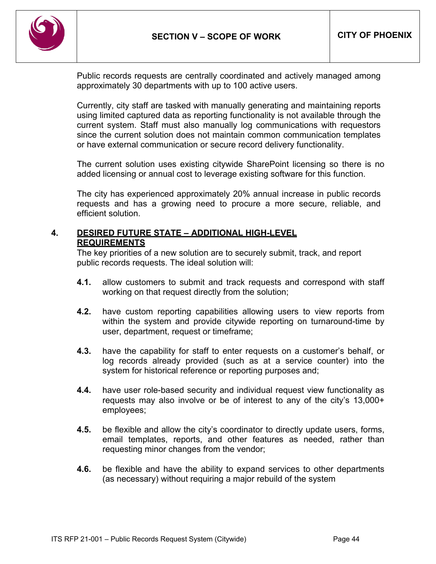

Public records requests are centrally coordinated and actively managed among approximately 30 departments with up to 100 active users.

Currently, city staff are tasked with manually generating and maintaining reports using limited captured data as reporting functionality is not available through the current system. Staff must also manually log communications with requestors since the current solution does not maintain common communication templates or have external communication or secure record delivery functionality.

The current solution uses existing citywide SharePoint licensing so there is no added licensing or annual cost to leverage existing software for this function.

The city has experienced approximately 20% annual increase in public records requests and has a growing need to procure a more secure, reliable, and efficient solution.

### **4. DESIRED FUTURE STATE – ADDITIONAL HIGH-LEVEL REQUIREMENTS**

The key priorities of a new solution are to securely submit, track, and report public records requests. The ideal solution will:

- **4.1.** allow customers to submit and track requests and correspond with staff working on that request directly from the solution;
- **4.2.** have custom reporting capabilities allowing users to view reports from within the system and provide citywide reporting on turnaround-time by user, department, request or timeframe;
- **4.3.** have the capability for staff to enter requests on a customer's behalf, or log records already provided (such as at a service counter) into the system for historical reference or reporting purposes and;
- **4.4.** have user role-based security and individual request view functionality as requests may also involve or be of interest to any of the city's 13,000+ employees;
- **4.5.** be flexible and allow the city's coordinator to directly update users, forms, email templates, reports, and other features as needed, rather than requesting minor changes from the vendor;
- **4.6.** be flexible and have the ability to expand services to other departments (as necessary) without requiring a major rebuild of the system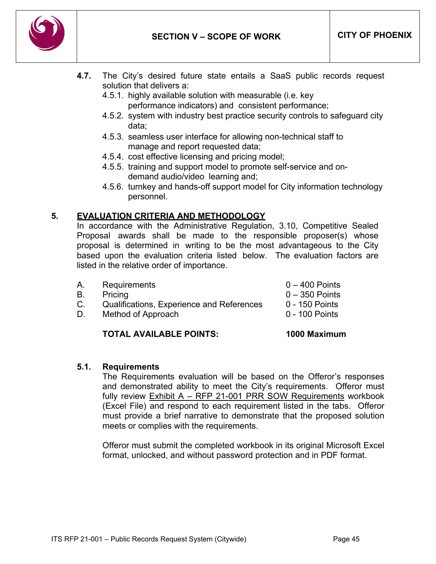

- **4.7.** The City's desired future state entails a SaaS public records request solution that delivers a:
	- 4.5.1. highly available solution with measurable (i.e. key performance indicators) and consistent performance;
	- 4.5.2. system with industry best practice security controls to safeguard city data;
	- 4.5.3. seamless user interface for allowing non-technical staff to manage and report requested data;
	- 4.5.4. cost effective licensing and pricing model;
	- 4.5.5. training and support model to promote self-service and ondemand audio/video learning and;
	- 4.5.6. turnkey and hands-off support model for City information technology personnel.

### **5. EVALUATION CRITERIA AND METHODOLOGY**

In accordance with the Administrative Regulation, 3.10, Competitive Sealed Proposal awards shall be made to the responsible proposer(s) whose proposal is determined in writing to be the most advantageous to the City based upon the evaluation criteria listed below. The evaluation factors are listed in the relative order of importance.

- A. Requirements 0 400 Points B. Pricing **D.** Pricing **B.** Pricing **B. Pricing B. C** C. Qualifications, Experience and References 0 - 150 Points
- D. Method of Approach 0 100 Points

## **TOTAL AVAILABLE POINTS: 1000 Maximum**

#### **5.1. Requirements**

The Requirements evaluation will be based on the Offeror's responses and demonstrated ability to meet the City's requirements. Offeror must fully review Exhibit A – RFP 21-001 PRR SOW Requirements workbook (Excel File) and respond to each requirement listed in the tabs. Offeror must provide a brief narrative to demonstrate that the proposed solution meets or complies with the requirements.

Offeror must submit the completed workbook in its original Microsoft Excel format, unlocked, and without password protection and in PDF format.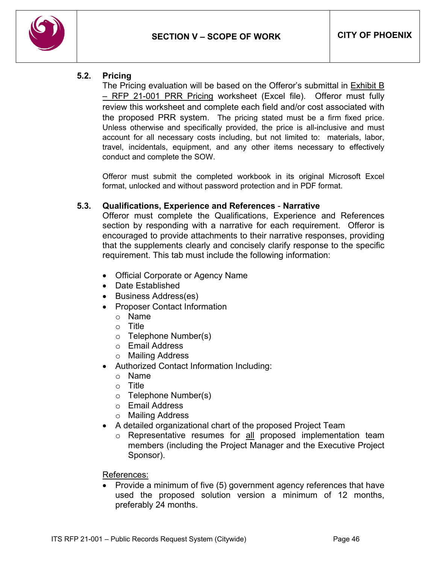

#### **5.2. Pricing**

The Pricing evaluation will be based on the Offeror's submittal in **Exhibit B** - RFP 21-001 PRR Pricing worksheet (Excel file). Offeror must fully review this worksheet and complete each field and/or cost associated with the proposed PRR system. The pricing stated must be a firm fixed price. Unless otherwise and specifically provided, the price is all-inclusive and must account for all necessary costs including, but not limited to: materials, labor, travel, incidentals, equipment, and any other items necessary to effectively conduct and complete the SOW.

Offeror must submit the completed workbook in its original Microsoft Excel format, unlocked and without password protection and in PDF format.

#### **5.3. Qualifications, Experience and References** - **Narrative**

Offeror must complete the Qualifications, Experience and References section by responding with a narrative for each requirement. Offeror is encouraged to provide attachments to their narrative responses, providing that the supplements clearly and concisely clarify response to the specific requirement. This tab must include the following information:

- Official Corporate or Agency Name
- Date Established
- Business Address(es)
- Proposer Contact Information
	- o Name
	- o Title
	- o Telephone Number(s)
	- o Email Address
	- o Mailing Address
- Authorized Contact Information Including:
	- o Name
	- o Title
	- o Telephone Number(s)
	- o Email Address
	- o Mailing Address
- A detailed organizational chart of the proposed Project Team
	- o Representative resumes for all proposed implementation team members (including the Project Manager and the Executive Project Sponsor).

References:

• Provide a minimum of five (5) government agency references that have used the proposed solution version a minimum of 12 months, preferably 24 months.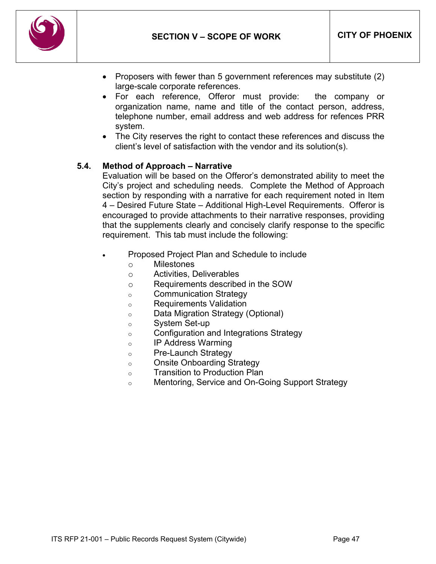

- Proposers with fewer than 5 government references may substitute (2) large-scale corporate references.
- For each reference, Offeror must provide: the company or organization name, name and title of the contact person, address, telephone number, email address and web address for refences PRR system.
- The City reserves the right to contact these references and discuss the client's level of satisfaction with the vendor and its solution(s).

### **5.4. Method of Approach – Narrative**

Evaluation will be based on the Offeror's demonstrated ability to meet the City's project and scheduling needs. Complete the Method of Approach section by responding with a narrative for each requirement noted in Item 4 – Desired Future State – Additional High-Level Requirements. Offeror is encouraged to provide attachments to their narrative responses, providing that the supplements clearly and concisely clarify response to the specific requirement. This tab must include the following:

- Proposed Project Plan and Schedule to include
	- o Milestones
	- o Activities, Deliverables
	- o Requirements described in the SOW
	- o Communication Strategy
	- o Requirements Validation
	- o Data Migration Strategy (Optional)
	- o System Set-up
	- o Configuration and Integrations Strategy
	- o IP Address Warming
	- o Pre-Launch Strategy
	- o Onsite Onboarding Strategy
	- o Transition to Production Plan
	- o Mentoring, Service and On-Going Support Strategy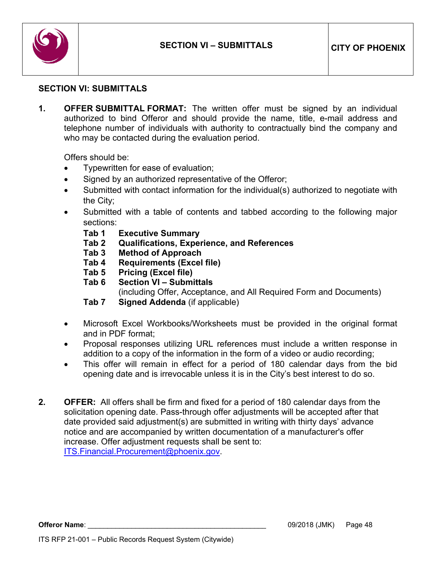

#### <span id="page-47-0"></span>**SECTION VI: SUBMITTALS**

**1. OFFER SUBMITTAL FORMAT:** The written offer must be signed by an individual authorized to bind Offeror and should provide the name, title, e-mail address and telephone number of individuals with authority to contractually bind the company and who may be contacted during the evaluation period.

Offers should be:

- Typewritten for ease of evaluation;
- Signed by an authorized representative of the Offeror;
- Submitted with contact information for the individual(s) authorized to negotiate with the City;
- Submitted with a table of contents and tabbed according to the following major sections:
	- **Tab 1 Executive Summary**
	- **Tab 2 Qualifications, Experience, and References**
	- **Tab 3 Method of Approach**
	- **Requirements (Excel file)**
	- **Tab 5 Pricing (Excel file)**
	- **Tab 6 Section VI – Submittals**
	- (including Offer, Acceptance, and All Required Form and Documents)
	- **Tab 7 Signed Addenda** (if applicable)
- Microsoft Excel Workbooks/Worksheets must be provided in the original format and in PDF format;
- Proposal responses utilizing URL references must include a written response in addition to a copy of the information in the form of a video or audio recording;
- This offer will remain in effect for a period of 180 calendar days from the bid opening date and is irrevocable unless it is in the City's best interest to do so.
- **2. OFFER:** All offers shall be firm and fixed for a period of 180 calendar days from the solicitation opening date. Pass-through offer adjustments will be accepted after that date provided said adjustment(s) are submitted in writing with thirty days' advance notice and are accompanied by written documentation of a manufacturer's offer increase. Offer adjustment requests shall be sent to: [ITS.Financial.Procurement@phoenix.gov.](mailto:ITS.Financial.Procurement@phoenix.gov)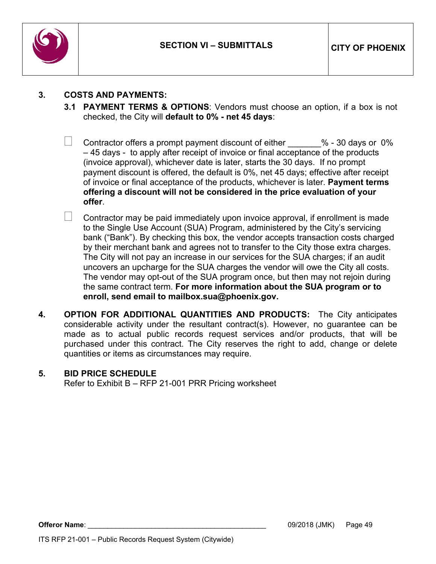

## **3. COSTS AND PAYMENTS:**

- **3.1 PAYMENT TERMS & OPTIONS**: Vendors must choose an option, if a box is not checked, the City will **default to 0% - net 45 days**:
- $\Box$  Contractor offers a prompt payment discount of either  $~\phantom{1}$  % 30 days or 0% – 45 days - to apply after receipt of invoice or final acceptance of the products (invoice approval), whichever date is later, starts the 30 days. If no prompt payment discount is offered, the default is 0%, net 45 days; effective after receipt of invoice or final acceptance of the products, whichever is later. **Payment terms offering a discount will not be considered in the price evaluation of your offer**.
- Contractor may be paid immediately upon invoice approval, if enrollment is made to the Single Use Account (SUA) Program, administered by the City's servicing bank ("Bank"). By checking this box, the vendor accepts transaction costs charged by their merchant bank and agrees not to transfer to the City those extra charges. The City will not pay an increase in our services for the SUA charges; if an audit uncovers an upcharge for the SUA charges the vendor will owe the City all costs. The vendor may opt-out of the SUA program once, but then may not rejoin during the same contract term. **For more information about the SUA program or to enroll, send email to mailbox.sua@phoenix.gov.**
- **4. OPTION FOR ADDITIONAL QUANTITIES AND PRODUCTS:** The City anticipates considerable activity under the resultant contract(s). However, no guarantee can be made as to actual public records request services and/or products, that will be purchased under this contract. The City reserves the right to add, change or delete quantities or items as circumstances may require.

#### **5. BID PRICE SCHEDULE**

Refer to Exhibit B – RFP 21-001 PRR Pricing worksheet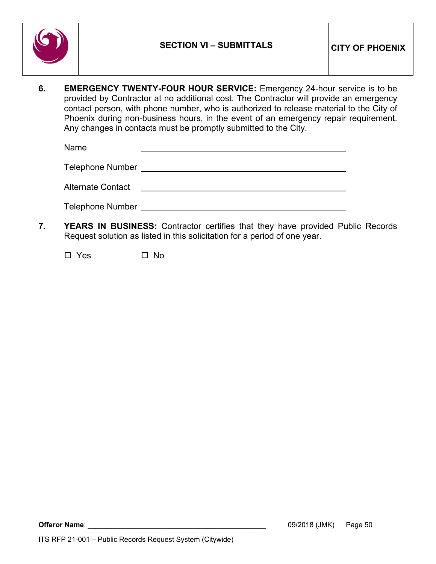

**6. EMERGENCY TWENTY-FOUR HOUR SERVICE:** Emergency 24-hour service is to be provided by Contractor at no additional cost. The Contractor will provide an emergency contact person, with phone number, who is authorized to release material to the City of Phoenix during non-business hours, in the event of an emergency repair requirement. Any changes in contacts must be promptly submitted to the City.

Name

Telephone Number

Alternate Contact

Telephone Number

**7. YEARS IN BUSINESS:** Contractor certifies that they have provided Public Records Request solution as listed in this solicitation for a period of one year.

 $\square$  Yes  $\square$  No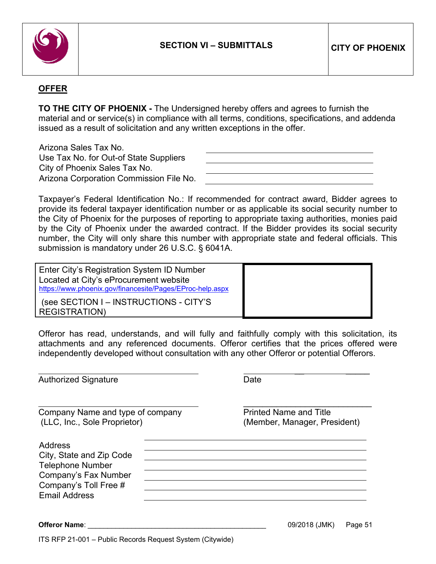

\_\_ \_\_\_\_\_

### **OFFER**

**TO THE CITY OF PHOENIX -** The Undersigned hereby offers and agrees to furnish the material and or service(s) in compliance with all terms, conditions, specifications, and addenda issued as a result of solicitation and any written exceptions in the offer.

Arizona Sales Tax No. Use Tax No. for Out-of State Suppliers City of Phoenix Sales Tax No. Arizona Corporation Commission File No.

Taxpayer's Federal Identification No.: If recommended for contract award, Bidder agrees to provide its federal taxpayer identification number or as applicable its social security number to the City of Phoenix for the purposes of reporting to appropriate taxing authorities, monies paid by the City of Phoenix under the awarded contract. If the Bidder provides its social security number, the City will only share this number with appropriate state and federal officials. This submission is mandatory under 26 U.S.C. § 6041A.

Enter City's Registration System ID Number Located at City's eProcurement website <https://www.phoenix.gov/financesite/Pages/EProc-help.aspx> (see SECTION I – INSTRUCTIONS - CITY'S REGISTRATION)

Offeror has read, understands, and will fully and faithfully comply with this solicitation, its attachments and any referenced documents. Offeror certifies that the prices offered were independently developed without consultation with any other Offeror or potential Offerors.

**Offeror Name**: \_\_\_\_\_\_\_\_\_\_\_\_\_\_\_\_\_\_\_\_\_\_\_\_\_\_\_\_\_\_\_\_\_\_\_\_\_\_\_\_\_\_\_\_\_ 09/2018 (JMK) Page 51 Authorized Signature **Date** Date \_\_\_\_\_\_\_\_\_\_\_\_\_\_\_\_\_\_\_\_\_\_\_\_\_\_\_ Company Name and type of company **Printed Name and Title** (LLC, Inc., Sole Proprietor) (Member, Manager, President) Address City, State and Zip Code Telephone Number Company's Fax Number Company's Toll Free # Email Address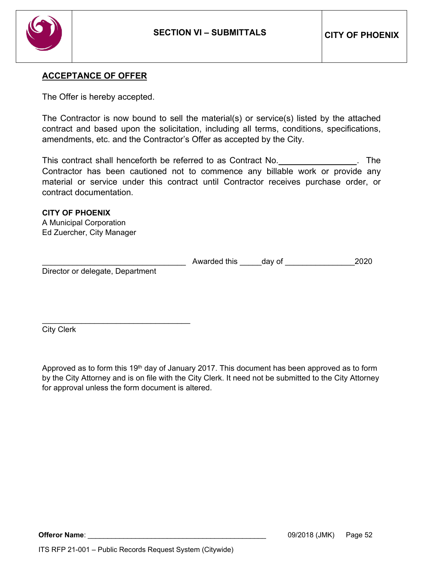

#### **ACCEPTANCE OF OFFER**

The Offer is hereby accepted.

The Contractor is now bound to sell the material(s) or service(s) listed by the attached contract and based upon the solicitation, including all terms, conditions, specifications, amendments, etc. and the Contractor's Offer as accepted by the City.

This contract shall henceforth be referred to as Contract No. **The state of the state of the state of the state** Contractor has been cautioned not to commence any billable work or provide any material or service under this contract until Contractor receives purchase order, or contract documentation.

**CITY OF PHOENIX** A Municipal Corporation Ed Zuercher, City Manager

Awarded this day of  $12020$ 

Director or delegate, Department

\_\_\_\_\_\_\_\_\_\_\_\_\_\_\_\_\_\_\_\_\_\_\_\_\_\_\_\_\_\_\_\_\_\_

City Clerk

Approved as to form this 19<sup>th</sup> day of January 2017. This document has been approved as to form by the City Attorney and is on file with the City Clerk. It need not be submitted to the City Attorney for approval unless the form document is altered.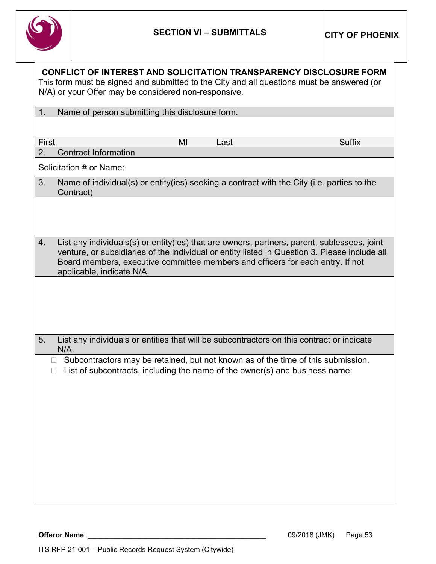

| 1.<br>Name of person submitting this disclosure form.                                                                                                                                                                                                                                                             |               |
|-------------------------------------------------------------------------------------------------------------------------------------------------------------------------------------------------------------------------------------------------------------------------------------------------------------------|---------------|
|                                                                                                                                                                                                                                                                                                                   |               |
| First<br>MI<br>Last                                                                                                                                                                                                                                                                                               | <b>Suffix</b> |
| <b>Contract Information</b><br>2.                                                                                                                                                                                                                                                                                 |               |
| Solicitation # or Name:                                                                                                                                                                                                                                                                                           |               |
| 3.<br>Name of individual(s) or entity(ies) seeking a contract with the City (i.e. parties to the<br>Contract)                                                                                                                                                                                                     |               |
|                                                                                                                                                                                                                                                                                                                   |               |
| 4.<br>List any individuals(s) or entity(ies) that are owners, partners, parent, sublessees, joint<br>venture, or subsidiaries of the individual or entity listed in Question 3. Please include all<br>Board members, executive committee members and officers for each entry. If not<br>applicable, indicate N/A. |               |
|                                                                                                                                                                                                                                                                                                                   |               |
| 5.<br>List any individuals or entities that will be subcontractors on this contract or indicate<br>$N/A$ .                                                                                                                                                                                                        |               |
| Subcontractors may be retained, but not known as of the time of this submission.<br>$\Box$<br>List of subcontracts, including the name of the owner(s) and business name:<br>П                                                                                                                                    |               |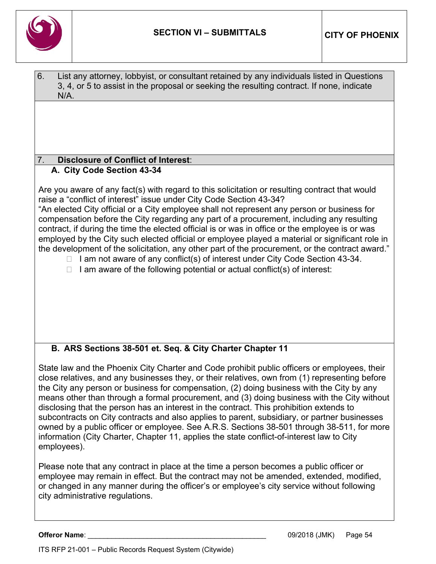

| 6.<br>List any attorney, lobbyist, or consultant retained by any individuals listed in Questions<br>3, 4, or 5 to assist in the proposal or seeking the resulting contract. If none, indicate<br>N/A.                                                                                                                                                                                                                                                                                                                                                                                                                                                                                                                                                                                                                                                 |
|-------------------------------------------------------------------------------------------------------------------------------------------------------------------------------------------------------------------------------------------------------------------------------------------------------------------------------------------------------------------------------------------------------------------------------------------------------------------------------------------------------------------------------------------------------------------------------------------------------------------------------------------------------------------------------------------------------------------------------------------------------------------------------------------------------------------------------------------------------|
|                                                                                                                                                                                                                                                                                                                                                                                                                                                                                                                                                                                                                                                                                                                                                                                                                                                       |
| 7.<br><b>Disclosure of Conflict of Interest:</b>                                                                                                                                                                                                                                                                                                                                                                                                                                                                                                                                                                                                                                                                                                                                                                                                      |
| A. City Code Section 43-34                                                                                                                                                                                                                                                                                                                                                                                                                                                                                                                                                                                                                                                                                                                                                                                                                            |
| Are you aware of any fact(s) with regard to this solicitation or resulting contract that would<br>raise a "conflict of interest" issue under City Code Section 43-34?<br>"An elected City official or a City employee shall not represent any person or business for<br>compensation before the City regarding any part of a procurement, including any resulting<br>contract, if during the time the elected official is or was in office or the employee is or was<br>employed by the City such elected official or employee played a material or significant role in<br>the development of the solicitation, any other part of the procurement, or the contract award."<br>I am not aware of any conflict(s) of interest under City Code Section 43-34.<br>$\Box$<br>I am aware of the following potential or actual conflict(s) of interest:<br>П |
| B. ARS Sections 38-501 et. Seq. & City Charter Chapter 11                                                                                                                                                                                                                                                                                                                                                                                                                                                                                                                                                                                                                                                                                                                                                                                             |
| State law and the Phoenix City Charter and Code prohibit public officers or employees, their<br>close relatives, and any businesses they, or their relatives, own from (1) representing before<br>the City any person or business for compensation, (2) doing business with the City by any<br>means other than through a formal procurement, and (3) doing business with the City without<br>disclosing that the person has an interest in the contract. This prohibition extends to<br>subcontracts on City contracts and also applies to parent, subsidiary, or partner businesses<br>owned by a public officer or employee. See A.R.S. Sections 38-501 through 38-511, for more<br>information (City Charter, Chapter 11, applies the state conflict-of-interest law to City<br>employees).                                                       |
| Please note that any contract in place at the time a person becomes a public officer or<br>employee may remain in effect. But the contract may not be amended, extended, modified,<br>or changed in any manner during the officer's or employee's city service without following<br>city administrative regulations.                                                                                                                                                                                                                                                                                                                                                                                                                                                                                                                                  |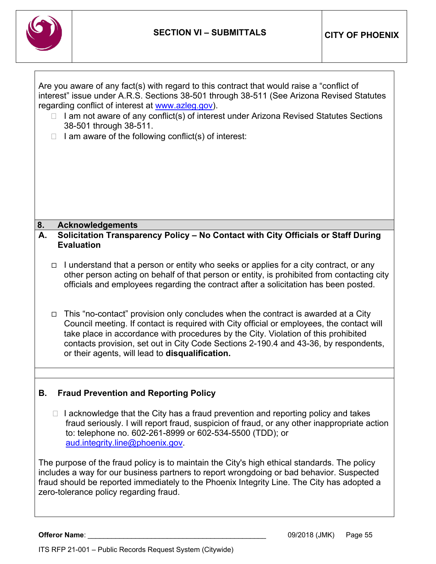

| Are you aware of any fact(s) with regard to this contract that would raise a "conflict of    |
|----------------------------------------------------------------------------------------------|
| interest" issue under A.R.S. Sections 38-501 through 38-511 (See Arizona Revised Statutes    |
| regarding conflict of interest at www.azleg.gov).                                            |
| $\Box$ I am not aware of any conflict(s) of interest under Arizona Revised Statutes Sections |
| 38-501 through 38-511.                                                                       |
| $\Box$ I am aware of the following conflict(s) of interest:                                  |

 $\Box$  Tam aware of the following conflict(s) of interest.

#### **8. Acknowledgements**

### **A. Solicitation Transparency Policy – No Contact with City Officials or Staff During Evaluation**

- $\Box$  I understand that a person or entity who seeks or applies for a city contract, or any other person acting on behalf of that person or entity, is prohibited from contacting city officials and employees regarding the contract after a solicitation has been posted.
- $\Box$  This "no-contact" provision only concludes when the contract is awarded at a City Council meeting. If contact is required with City official or employees, the contact will take place in accordance with procedures by the City. Violation of this prohibited contacts provision, set out in City Code Sections 2-190.4 and 43-36, by respondents, or their agents, will lead to **disqualification.**

## **B. Fraud Prevention and Reporting Policy**

 $\Box$  I acknowledge that the City has a fraud prevention and reporting policy and takes fraud seriously. I will report fraud, suspicion of fraud, or any other inappropriate action to: telephone no. 602-261-8999 or 602-534-5500 (TDD); or [aud.integrity.line@phoenix.gov.](mailto:aud.integrity.line@phoenix.gov)

The purpose of the fraud policy is to maintain the City's high ethical standards. The policy includes a way for our business partners to report wrongdoing or bad behavior. Suspected fraud should be reported immediately to the Phoenix Integrity Line. The City has adopted a zero-tolerance policy regarding fraud.